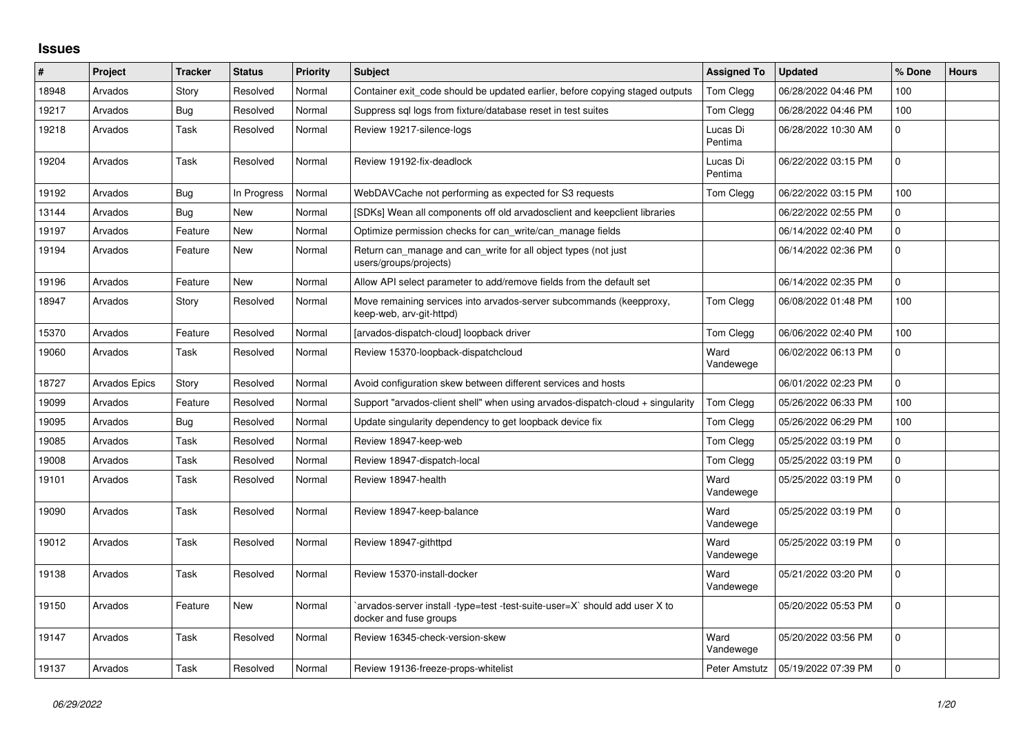## **Issues**

| ∦     | Project              | <b>Tracker</b> | <b>Status</b> | Priority | <b>Subject</b>                                                                                       | <b>Assigned To</b>  | <b>Updated</b>      | % Done   | <b>Hours</b> |
|-------|----------------------|----------------|---------------|----------|------------------------------------------------------------------------------------------------------|---------------------|---------------------|----------|--------------|
| 18948 | Arvados              | Story          | Resolved      | Normal   | Container exit code should be updated earlier, before copying staged outputs                         | <b>Tom Clegg</b>    | 06/28/2022 04:46 PM | 100      |              |
| 19217 | Arvados              | <b>Bug</b>     | Resolved      | Normal   | Suppress sql logs from fixture/database reset in test suites                                         | Tom Clegg           | 06/28/2022 04:46 PM | 100      |              |
| 19218 | Arvados              | Task           | Resolved      | Normal   | Review 19217-silence-logs                                                                            | Lucas Di<br>Pentima | 06/28/2022 10:30 AM | 0        |              |
| 19204 | Arvados              | Task           | Resolved      | Normal   | Review 19192-fix-deadlock                                                                            | Lucas Di<br>Pentima | 06/22/2022 03:15 PM | 0        |              |
| 19192 | Arvados              | Bug            | In Progress   | Normal   | WebDAVCache not performing as expected for S3 requests                                               | Tom Clegg           | 06/22/2022 03:15 PM | 100      |              |
| 13144 | Arvados              | <b>Bug</b>     | New           | Normal   | [SDKs] Wean all components off old arvadosclient and keepclient libraries                            |                     | 06/22/2022 02:55 PM | 0        |              |
| 19197 | Arvados              | Feature        | New           | Normal   | Optimize permission checks for can_write/can_manage fields                                           |                     | 06/14/2022 02:40 PM | 0        |              |
| 19194 | Arvados              | Feature        | New           | Normal   | Return can_manage and can_write for all object types (not just<br>users/groups/projects)             |                     | 06/14/2022 02:36 PM | 0        |              |
| 19196 | Arvados              | Feature        | New           | Normal   | Allow API select parameter to add/remove fields from the default set                                 |                     | 06/14/2022 02:35 PM | 0        |              |
| 18947 | Arvados              | Story          | Resolved      | Normal   | Move remaining services into arvados-server subcommands (keepproxy,<br>keep-web, arv-git-httpd)      | Tom Clegg           | 06/08/2022 01:48 PM | 100      |              |
| 15370 | Arvados              | Feature        | Resolved      | Normal   | [arvados-dispatch-cloud] loopback driver                                                             | Tom Clegg           | 06/06/2022 02:40 PM | 100      |              |
| 19060 | Arvados              | Task           | Resolved      | Normal   | Review 15370-loopback-dispatchcloud                                                                  | Ward<br>Vandewege   | 06/02/2022 06:13 PM | 0        |              |
| 18727 | <b>Arvados Epics</b> | Story          | Resolved      | Normal   | Avoid configuration skew between different services and hosts                                        |                     | 06/01/2022 02:23 PM | 0        |              |
| 19099 | Arvados              | Feature        | Resolved      | Normal   | Support "arvados-client shell" when using arvados-dispatch-cloud + singularity                       | Tom Clegg           | 05/26/2022 06:33 PM | 100      |              |
| 19095 | Arvados              | Bug            | Resolved      | Normal   | Update singularity dependency to get loopback device fix                                             | Tom Clegg           | 05/26/2022 06:29 PM | 100      |              |
| 19085 | Arvados              | Task           | Resolved      | Normal   | Review 18947-keep-web                                                                                | Tom Clegg           | 05/25/2022 03:19 PM | 0        |              |
| 19008 | Arvados              | Task           | Resolved      | Normal   | Review 18947-dispatch-local                                                                          | Tom Clegg           | 05/25/2022 03:19 PM | 0        |              |
| 19101 | Arvados              | Task           | Resolved      | Normal   | Review 18947-health                                                                                  | Ward<br>Vandewege   | 05/25/2022 03:19 PM | 0        |              |
| 19090 | Arvados              | Task           | Resolved      | Normal   | Review 18947-keep-balance                                                                            | Ward<br>Vandewege   | 05/25/2022 03:19 PM | $\Omega$ |              |
| 19012 | Arvados              | Task           | Resolved      | Normal   | Review 18947-githttpd                                                                                | Ward<br>Vandewege   | 05/25/2022 03:19 PM | 0        |              |
| 19138 | Arvados              | Task           | Resolved      | Normal   | Review 15370-install-docker                                                                          | Ward<br>Vandewege   | 05/21/2022 03:20 PM | 0        |              |
| 19150 | Arvados              | Feature        | New           | Normal   | arvados-server install -type=test -test-suite-user=X` should add user X to<br>docker and fuse groups |                     | 05/20/2022 05:53 PM | $\Omega$ |              |
| 19147 | Arvados              | Task           | Resolved      | Normal   | Review 16345-check-version-skew                                                                      | Ward<br>Vandewege   | 05/20/2022 03:56 PM | 0        |              |
| 19137 | Arvados              | Task           | Resolved      | Normal   | Review 19136-freeze-props-whitelist                                                                  | Peter Amstutz       | 05/19/2022 07:39 PM | 0        |              |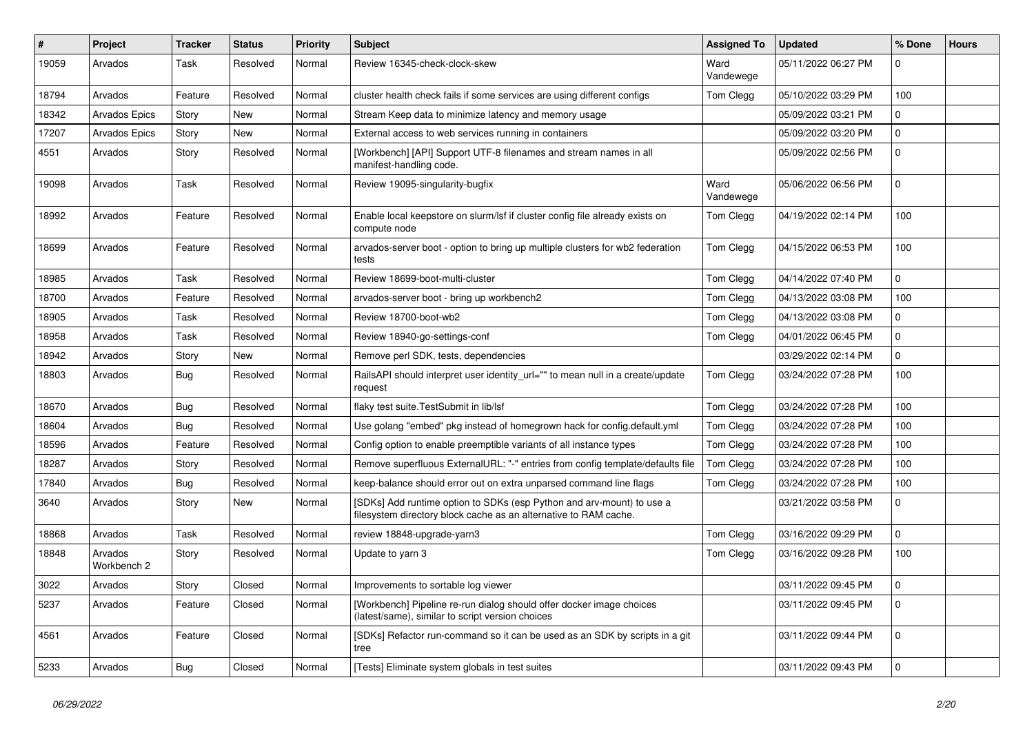| ∦     | Project                | <b>Tracker</b> | <b>Status</b> | <b>Priority</b> | <b>Subject</b>                                                                                                                            | <b>Assigned To</b> | <b>Updated</b>      | % Done       | <b>Hours</b> |
|-------|------------------------|----------------|---------------|-----------------|-------------------------------------------------------------------------------------------------------------------------------------------|--------------------|---------------------|--------------|--------------|
| 19059 | Arvados                | Task           | Resolved      | Normal          | Review 16345-check-clock-skew                                                                                                             | Ward<br>Vandewege  | 05/11/2022 06:27 PM | <sup>0</sup> |              |
| 18794 | Arvados                | Feature        | Resolved      | Normal          | cluster health check fails if some services are using different configs                                                                   | Tom Clegg          | 05/10/2022 03:29 PM | 100          |              |
| 18342 | <b>Arvados Epics</b>   | Story          | New           | Normal          | Stream Keep data to minimize latency and memory usage                                                                                     |                    | 05/09/2022 03:21 PM | 0            |              |
| 17207 | <b>Arvados Epics</b>   | Story          | New           | Normal          | External access to web services running in containers                                                                                     |                    | 05/09/2022 03:20 PM | 0            |              |
| 4551  | Arvados                | Story          | Resolved      | Normal          | [Workbench] [API] Support UTF-8 filenames and stream names in all<br>manifest-handling code.                                              |                    | 05/09/2022 02:56 PM | U            |              |
| 19098 | Arvados                | Task           | Resolved      | Normal          | Review 19095-singularity-bugfix                                                                                                           | Ward<br>Vandewege  | 05/06/2022 06:56 PM | 0            |              |
| 18992 | Arvados                | Feature        | Resolved      | Normal          | Enable local keepstore on slurm/lsf if cluster config file already exists on<br>compute node                                              | Tom Clegg          | 04/19/2022 02:14 PM | 100          |              |
| 18699 | Arvados                | Feature        | Resolved      | Normal          | arvados-server boot - option to bring up multiple clusters for wb2 federation<br>tests                                                    | Tom Clegg          | 04/15/2022 06:53 PM | 100          |              |
| 18985 | Arvados                | Task           | Resolved      | Normal          | Review 18699-boot-multi-cluster                                                                                                           | Tom Clegg          | 04/14/2022 07:40 PM | $\Omega$     |              |
| 18700 | Arvados                | Feature        | Resolved      | Normal          | arvados-server boot - bring up workbench2                                                                                                 | Tom Clegg          | 04/13/2022 03:08 PM | 100          |              |
| 18905 | Arvados                | Task           | Resolved      | Normal          | Review 18700-boot-wb2                                                                                                                     | Tom Clegg          | 04/13/2022 03:08 PM | 0            |              |
| 18958 | Arvados                | Task           | Resolved      | Normal          | Review 18940-go-settings-conf                                                                                                             | Tom Clegg          | 04/01/2022 06:45 PM | 0            |              |
| 18942 | Arvados                | Story          | New           | Normal          | Remove perl SDK, tests, dependencies                                                                                                      |                    | 03/29/2022 02:14 PM | $\Omega$     |              |
| 18803 | Arvados                | Bug            | Resolved      | Normal          | RailsAPI should interpret user identity_url="" to mean null in a create/update<br>request                                                 | Tom Clegg          | 03/24/2022 07:28 PM | 100          |              |
| 18670 | Arvados                | <b>Bug</b>     | Resolved      | Normal          | flaky test suite. TestSubmit in lib/lsf                                                                                                   | Tom Clegg          | 03/24/2022 07:28 PM | 100          |              |
| 18604 | Arvados                | Bug            | Resolved      | Normal          | Use golang "embed" pkg instead of homegrown hack for config.default.yml                                                                   | Tom Clegg          | 03/24/2022 07:28 PM | 100          |              |
| 18596 | Arvados                | Feature        | Resolved      | Normal          | Config option to enable preemptible variants of all instance types                                                                        | Tom Clegg          | 03/24/2022 07:28 PM | 100          |              |
| 18287 | Arvados                | Story          | Resolved      | Normal          | Remove superfluous ExternalURL: "-" entries from config template/defaults file                                                            | Tom Clegg          | 03/24/2022 07:28 PM | 100          |              |
| 17840 | Arvados                | <b>Bug</b>     | Resolved      | Normal          | keep-balance should error out on extra unparsed command line flags                                                                        | Tom Clegg          | 03/24/2022 07:28 PM | 100          |              |
| 3640  | Arvados                | Story          | <b>New</b>    | Normal          | [SDKs] Add runtime option to SDKs (esp Python and arv-mount) to use a<br>filesystem directory block cache as an alternative to RAM cache. |                    | 03/21/2022 03:58 PM | 0            |              |
| 18868 | Arvados                | Task           | Resolved      | Normal          | review 18848-upgrade-yarn3                                                                                                                | Tom Clegg          | 03/16/2022 09:29 PM | 0            |              |
| 18848 | Arvados<br>Workbench 2 | Story          | Resolved      | Normal          | Update to yarn 3                                                                                                                          | Tom Clegg          | 03/16/2022 09:28 PM | 100          |              |
| 3022  | Arvados                | Story          | Closed        | Normal          | Improvements to sortable log viewer                                                                                                       |                    | 03/11/2022 09:45 PM |              |              |
| 5237  | Arvados                | Feature        | Closed        | Normal          | [Workbench] Pipeline re-run dialog should offer docker image choices<br>(latest/same), similar to script version choices                  |                    | 03/11/2022 09:45 PM | $\Omega$     |              |
| 4561  | Arvados                | Feature        | Closed        | Normal          | [SDKs] Refactor run-command so it can be used as an SDK by scripts in a git<br>tree                                                       |                    | 03/11/2022 09:44 PM | 0            |              |
| 5233  | Arvados                | <b>Bug</b>     | Closed        | Normal          | [Tests] Eliminate system globals in test suites                                                                                           |                    | 03/11/2022 09:43 PM |              |              |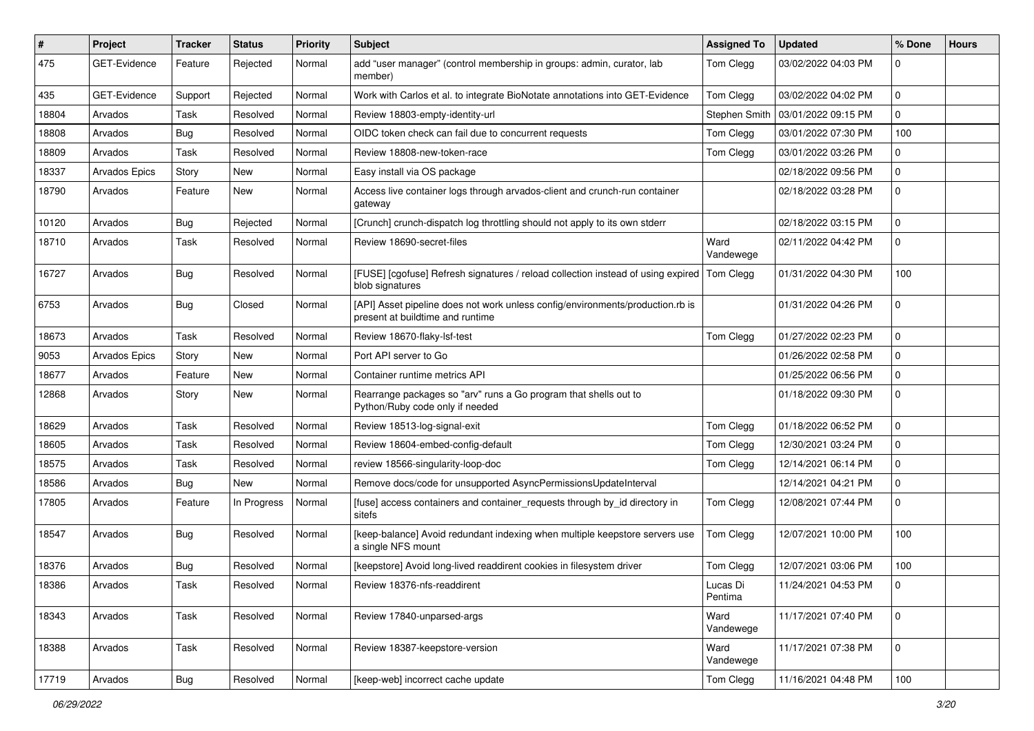| $\sharp$ | Project              | <b>Tracker</b> | <b>Status</b> | Priority | <b>Subject</b>                                                                                                     | <b>Assigned To</b>  | <b>Updated</b>      | % Done      | <b>Hours</b> |
|----------|----------------------|----------------|---------------|----------|--------------------------------------------------------------------------------------------------------------------|---------------------|---------------------|-------------|--------------|
| 475      | GET-Evidence         | Feature        | Rejected      | Normal   | add "user manager" (control membership in groups: admin, curator, lab<br>member)                                   | Tom Clegg           | 03/02/2022 04:03 PM | 0           |              |
| 435      | GET-Evidence         | Support        | Rejected      | Normal   | Work with Carlos et al. to integrate BioNotate annotations into GET-Evidence                                       | Tom Clegg           | 03/02/2022 04:02 PM | $\mathbf 0$ |              |
| 18804    | Arvados              | Task           | Resolved      | Normal   | Review 18803-empty-identity-url                                                                                    | Stephen Smith       | 03/01/2022 09:15 PM | 0           |              |
| 18808    | Arvados              | <b>Bug</b>     | Resolved      | Normal   | OIDC token check can fail due to concurrent requests                                                               | Tom Clegg           | 03/01/2022 07:30 PM | 100         |              |
| 18809    | Arvados              | Task           | Resolved      | Normal   | Review 18808-new-token-race                                                                                        | Tom Clegg           | 03/01/2022 03:26 PM | 0           |              |
| 18337    | <b>Arvados Epics</b> | Story          | New           | Normal   | Easy install via OS package                                                                                        |                     | 02/18/2022 09:56 PM | 0           |              |
| 18790    | Arvados              | Feature        | New           | Normal   | Access live container logs through arvados-client and crunch-run container<br>gateway                              |                     | 02/18/2022 03:28 PM | 0           |              |
| 10120    | Arvados              | Bug            | Rejected      | Normal   | [Crunch] crunch-dispatch log throttling should not apply to its own stderr                                         |                     | 02/18/2022 03:15 PM | $\mathbf 0$ |              |
| 18710    | Arvados              | Task           | Resolved      | Normal   | Review 18690-secret-files                                                                                          | Ward<br>Vandewege   | 02/11/2022 04:42 PM | 0           |              |
| 16727    | Arvados              | <b>Bug</b>     | Resolved      | Normal   | [FUSE] [cgofuse] Refresh signatures / reload collection instead of using expired<br>blob signatures                | Tom Clegg           | 01/31/2022 04:30 PM | 100         |              |
| 6753     | Arvados              | <b>Bug</b>     | Closed        | Normal   | [API] Asset pipeline does not work unless config/environments/production.rb is<br>present at buildtime and runtime |                     | 01/31/2022 04:26 PM | 0           |              |
| 18673    | Arvados              | Task           | Resolved      | Normal   | Review 18670-flaky-lsf-test                                                                                        | Tom Clegg           | 01/27/2022 02:23 PM | $\mathbf 0$ |              |
| 9053     | <b>Arvados Epics</b> | Story          | New           | Normal   | Port API server to Go                                                                                              |                     | 01/26/2022 02:58 PM | 0           |              |
| 18677    | Arvados              | Feature        | New           | Normal   | Container runtime metrics API                                                                                      |                     | 01/25/2022 06:56 PM | 0           |              |
| 12868    | Arvados              | Story          | New           | Normal   | Rearrange packages so "arv" runs a Go program that shells out to<br>Python/Ruby code only if needed                |                     | 01/18/2022 09:30 PM | 0           |              |
| 18629    | Arvados              | Task           | Resolved      | Normal   | Review 18513-log-signal-exit                                                                                       | Tom Clegg           | 01/18/2022 06:52 PM | 0           |              |
| 18605    | Arvados              | Task           | Resolved      | Normal   | Review 18604-embed-config-default                                                                                  | Tom Clegg           | 12/30/2021 03:24 PM | 0           |              |
| 18575    | Arvados              | Task           | Resolved      | Normal   | review 18566-singularity-loop-doc                                                                                  | Tom Clegg           | 12/14/2021 06:14 PM | 0           |              |
| 18586    | Arvados              | <b>Bug</b>     | New           | Normal   | Remove docs/code for unsupported AsyncPermissionsUpdateInterval                                                    |                     | 12/14/2021 04:21 PM | 0           |              |
| 17805    | Arvados              | Feature        | In Progress   | Normal   | [fuse] access containers and container_requests through by_id directory in<br>sitefs                               | Tom Clegg           | 12/08/2021 07:44 PM | $\Omega$    |              |
| 18547    | Arvados              | Bug            | Resolved      | Normal   | [keep-balance] Avoid redundant indexing when multiple keepstore servers use<br>a single NFS mount                  | Tom Clegg           | 12/07/2021 10:00 PM | 100         |              |
| 18376    | Arvados              | <b>Bug</b>     | Resolved      | Normal   | [keepstore] Avoid long-lived readdirent cookies in filesystem driver                                               | Tom Clegg           | 12/07/2021 03:06 PM | 100         |              |
| 18386    | Arvados              | Task           | Resolved      | Normal   | Review 18376-nfs-readdirent                                                                                        | Lucas Di<br>Pentima | 11/24/2021 04:53 PM |             |              |
| 18343    | Arvados              | Task           | Resolved      | Normal   | Review 17840-unparsed-args                                                                                         | Ward<br>Vandewege   | 11/17/2021 07:40 PM | $\mathbf 0$ |              |
| 18388    | Arvados              | Task           | Resolved      | Normal   | Review 18387-keepstore-version                                                                                     | Ward<br>Vandewege   | 11/17/2021 07:38 PM | 0           |              |
| 17719    | Arvados              | <b>Bug</b>     | Resolved      | Normal   | [keep-web] incorrect cache update                                                                                  | Tom Clegg           | 11/16/2021 04:48 PM | 100         |              |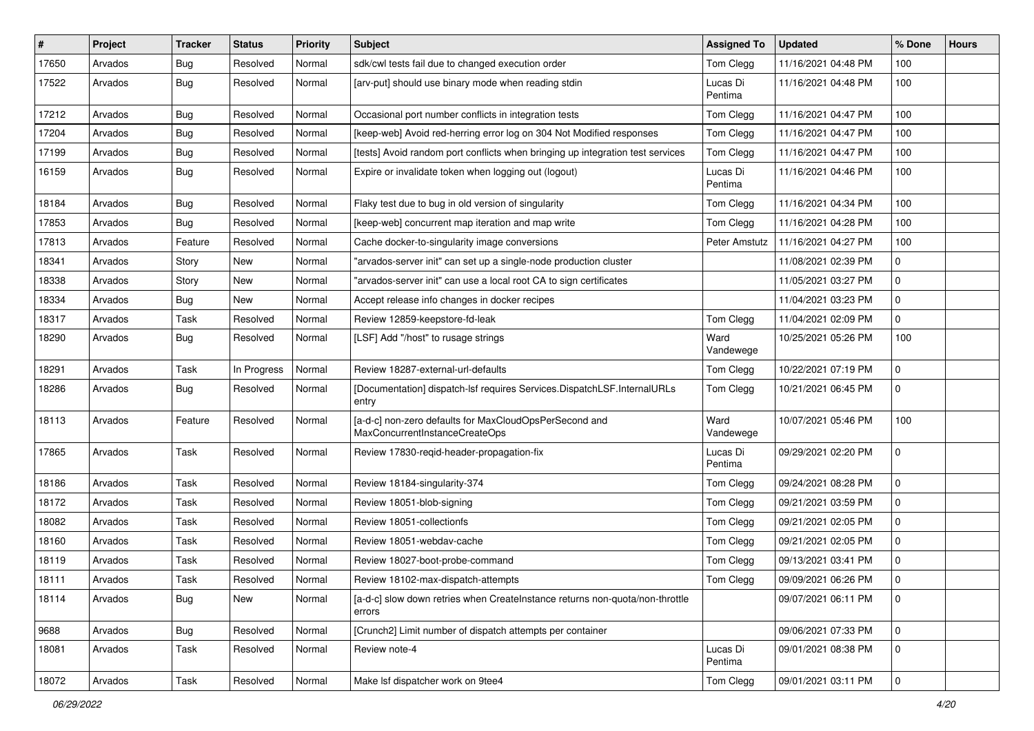| $\sharp$ | Project | <b>Tracker</b> | <b>Status</b> | <b>Priority</b> | Subject                                                                                  | <b>Assigned To</b>  | <b>Updated</b>      | % Done       | <b>Hours</b> |
|----------|---------|----------------|---------------|-----------------|------------------------------------------------------------------------------------------|---------------------|---------------------|--------------|--------------|
| 17650    | Arvados | Bug            | Resolved      | Normal          | sdk/cwl tests fail due to changed execution order                                        | Tom Clegg           | 11/16/2021 04:48 PM | 100          |              |
| 17522    | Arvados | Bug            | Resolved      | Normal          | [arv-put] should use binary mode when reading stdin                                      | Lucas Di<br>Pentima | 11/16/2021 04:48 PM | 100          |              |
| 17212    | Arvados | <b>Bug</b>     | Resolved      | Normal          | Occasional port number conflicts in integration tests                                    | Tom Clegg           | 11/16/2021 04:47 PM | 100          |              |
| 17204    | Arvados | Bug            | Resolved      | Normal          | [keep-web] Avoid red-herring error log on 304 Not Modified responses                     | Tom Clegg           | 11/16/2021 04:47 PM | 100          |              |
| 17199    | Arvados | Bug            | Resolved      | Normal          | [tests] Avoid random port conflicts when bringing up integration test services           | Tom Clegg           | 11/16/2021 04:47 PM | 100          |              |
| 16159    | Arvados | <b>Bug</b>     | Resolved      | Normal          | Expire or invalidate token when logging out (logout)                                     | Lucas Di<br>Pentima | 11/16/2021 04:46 PM | 100          |              |
| 18184    | Arvados | <b>Bug</b>     | Resolved      | Normal          | Flaky test due to bug in old version of singularity                                      | Tom Clegg           | 11/16/2021 04:34 PM | 100          |              |
| 17853    | Arvados | Bug            | Resolved      | Normal          | [keep-web] concurrent map iteration and map write                                        | Tom Clegg           | 11/16/2021 04:28 PM | 100          |              |
| 17813    | Arvados | Feature        | Resolved      | Normal          | Cache docker-to-singularity image conversions                                            | Peter Amstutz       | 11/16/2021 04:27 PM | 100          |              |
| 18341    | Arvados | Story          | New           | Normal          | "arvados-server init" can set up a single-node production cluster                        |                     | 11/08/2021 02:39 PM | 0            |              |
| 18338    | Arvados | Story          | New           | Normal          | "arvados-server init" can use a local root CA to sign certificates                       |                     | 11/05/2021 03:27 PM | $\mathbf 0$  |              |
| 18334    | Arvados | Bug            | New           | Normal          | Accept release info changes in docker recipes                                            |                     | 11/04/2021 03:23 PM | 0            |              |
| 18317    | Arvados | Task           | Resolved      | Normal          | Review 12859-keepstore-fd-leak                                                           | Tom Clegg           | 11/04/2021 02:09 PM | $\mathbf 0$  |              |
| 18290    | Arvados | <b>Bug</b>     | Resolved      | Normal          | [LSF] Add "/host" to rusage strings                                                      | Ward<br>Vandewege   | 10/25/2021 05:26 PM | 100          |              |
| 18291    | Arvados | Task           | In Progress   | Normal          | Review 18287-external-url-defaults                                                       | Tom Clegg           | 10/22/2021 07:19 PM | 0            |              |
| 18286    | Arvados | Bug            | Resolved      | Normal          | [Documentation] dispatch-lsf requires Services.DispatchLSF.InternalURLs<br>entry         | Tom Clegg           | 10/21/2021 06:45 PM | $\mathbf 0$  |              |
| 18113    | Arvados | Feature        | Resolved      | Normal          | [a-d-c] non-zero defaults for MaxCloudOpsPerSecond and<br>MaxConcurrentInstanceCreateOps | Ward<br>Vandewege   | 10/07/2021 05:46 PM | 100          |              |
| 17865    | Arvados | Task           | Resolved      | Normal          | Review 17830-reqid-header-propagation-fix                                                | Lucas Di<br>Pentima | 09/29/2021 02:20 PM | $\Omega$     |              |
| 18186    | Arvados | Task           | Resolved      | Normal          | Review 18184-singularity-374                                                             | Tom Clegg           | 09/24/2021 08:28 PM | 0            |              |
| 18172    | Arvados | Task           | Resolved      | Normal          | Review 18051-blob-signing                                                                | Tom Clegg           | 09/21/2021 03:59 PM | $\mathbf 0$  |              |
| 18082    | Arvados | Task           | Resolved      | Normal          | Review 18051-collectionfs                                                                | Tom Clegg           | 09/21/2021 02:05 PM | $\mathbf 0$  |              |
| 18160    | Arvados | Task           | Resolved      | Normal          | Review 18051-webdav-cache                                                                | Tom Clegg           | 09/21/2021 02:05 PM | 0            |              |
| 18119    | Arvados | Task           | Resolved      | Normal          | Review 18027-boot-probe-command                                                          | Tom Clegg           | 09/13/2021 03:41 PM | 0            |              |
| 18111    | Arvados | Task           | Resolved      | Normal          | Review 18102-max-dispatch-attempts                                                       | Tom Clegg           | 09/09/2021 06:26 PM | $\mathbf 0$  |              |
| 18114    | Arvados | <b>Bug</b>     | New           | Normal          | [a-d-c] slow down retries when CreateInstance returns non-quota/non-throttle<br>errors   |                     | 09/07/2021 06:11 PM | $\mathsf{O}$ |              |
| 9688     | Arvados | <b>Bug</b>     | Resolved      | Normal          | [Crunch2] Limit number of dispatch attempts per container                                |                     | 09/06/2021 07:33 PM | $\mathbf 0$  |              |
| 18081    | Arvados | Task           | Resolved      | Normal          | Review note-4                                                                            | Lucas Di<br>Pentima | 09/01/2021 08:38 PM | 0            |              |
| 18072    | Arvados | Task           | Resolved      | Normal          | Make Isf dispatcher work on 9tee4                                                        | Tom Clegg           | 09/01/2021 03:11 PM | $\mathbf 0$  |              |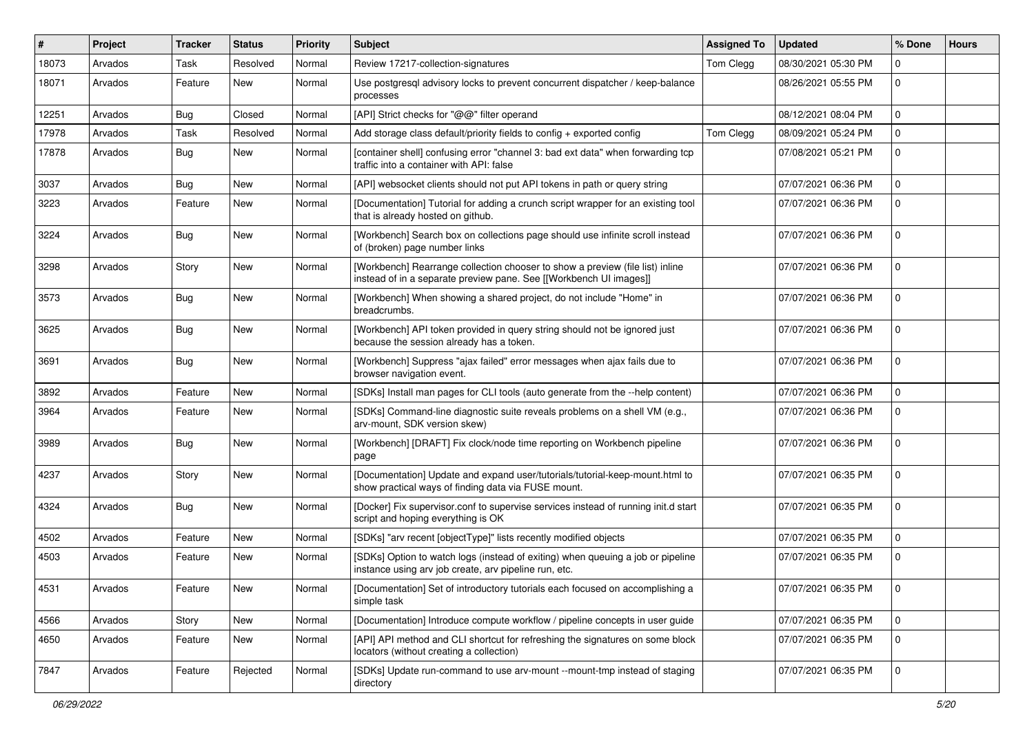| #     | Project | Tracker    | <b>Status</b> | <b>Priority</b> | <b>Subject</b>                                                                                                                                      | <b>Assigned To</b> | <b>Updated</b>      | % Done       | <b>Hours</b> |
|-------|---------|------------|---------------|-----------------|-----------------------------------------------------------------------------------------------------------------------------------------------------|--------------------|---------------------|--------------|--------------|
| 18073 | Arvados | Task       | Resolved      | Normal          | Review 17217-collection-signatures                                                                                                                  | Tom Clegg          | 08/30/2021 05:30 PM | 0            |              |
| 18071 | Arvados | Feature    | New           | Normal          | Use postgresql advisory locks to prevent concurrent dispatcher / keep-balance<br>processes                                                          |                    | 08/26/2021 05:55 PM | $\mathbf 0$  |              |
| 12251 | Arvados | Bug        | Closed        | Normal          | [API] Strict checks for "@@" filter operand                                                                                                         |                    | 08/12/2021 08:04 PM | $\mathbf 0$  |              |
| 17978 | Arvados | Task       | Resolved      | Normal          | Add storage class default/priority fields to config + exported config                                                                               | Tom Clegg          | 08/09/2021 05:24 PM | $\mathbf 0$  |              |
| 17878 | Arvados | <b>Bug</b> | New           | Normal          | [container shell] confusing error "channel 3: bad ext data" when forwarding tcp<br>traffic into a container with API: false                         |                    | 07/08/2021 05:21 PM | 0            |              |
| 3037  | Arvados | <b>Bug</b> | New           | Normal          | [API] websocket clients should not put API tokens in path or query string                                                                           |                    | 07/07/2021 06:36 PM | $\mathbf 0$  |              |
| 3223  | Arvados | Feature    | New           | Normal          | [Documentation] Tutorial for adding a crunch script wrapper for an existing tool<br>that is already hosted on github.                               |                    | 07/07/2021 06:36 PM | 0            |              |
| 3224  | Arvados | <b>Bug</b> | New           | Normal          | [Workbench] Search box on collections page should use infinite scroll instead<br>of (broken) page number links                                      |                    | 07/07/2021 06:36 PM | $\Omega$     |              |
| 3298  | Arvados | Story      | New           | Normal          | [Workbench] Rearrange collection chooser to show a preview (file list) inline<br>instead of in a separate preview pane. See [[Workbench UI images]] |                    | 07/07/2021 06:36 PM | $\mathbf 0$  |              |
| 3573  | Arvados | <b>Bug</b> | New           | Normal          | [Workbench] When showing a shared project, do not include "Home" in<br>breadcrumbs.                                                                 |                    | 07/07/2021 06:36 PM | $\Omega$     |              |
| 3625  | Arvados | <b>Bug</b> | New           | Normal          | [Workbench] API token provided in query string should not be ignored just<br>because the session already has a token.                               |                    | 07/07/2021 06:36 PM | $\Omega$     |              |
| 3691  | Arvados | <b>Bug</b> | New           | Normal          | [Workbench] Suppress "ajax failed" error messages when ajax fails due to<br>browser navigation event.                                               |                    | 07/07/2021 06:36 PM | $\Omega$     |              |
| 3892  | Arvados | Feature    | <b>New</b>    | Normal          | [SDKs] Install man pages for CLI tools (auto generate from the --help content)                                                                      |                    | 07/07/2021 06:36 PM | $\mathbf 0$  |              |
| 3964  | Arvados | Feature    | New           | Normal          | [SDKs] Command-line diagnostic suite reveals problems on a shell VM (e.g.,<br>arv-mount, SDK version skew)                                          |                    | 07/07/2021 06:36 PM | $\Omega$     |              |
| 3989  | Arvados | <b>Bug</b> | New           | Normal          | [Workbench] [DRAFT] Fix clock/node time reporting on Workbench pipeline<br>page                                                                     |                    | 07/07/2021 06:36 PM | $\mathbf 0$  |              |
| 4237  | Arvados | Story      | New           | Normal          | [Documentation] Update and expand user/tutorials/tutorial-keep-mount.html to<br>show practical ways of finding data via FUSE mount.                 |                    | 07/07/2021 06:35 PM | $\Omega$     |              |
| 4324  | Arvados | <b>Bug</b> | New           | Normal          | [Docker] Fix supervisor.conf to supervise services instead of running init.d start<br>script and hoping everything is OK                            |                    | 07/07/2021 06:35 PM | $\Omega$     |              |
| 4502  | Arvados | Feature    | New           | Normal          | [SDKs] "arv recent [objectType]" lists recently modified objects                                                                                    |                    | 07/07/2021 06:35 PM | 0            |              |
| 4503  | Arvados | Feature    | New           | Normal          | [SDKs] Option to watch logs (instead of exiting) when queuing a job or pipeline<br>instance using arv job create, arv pipeline run, etc.            |                    | 07/07/2021 06:35 PM | $\Omega$     |              |
| 4531  | Arvados | Feature    | New           | Normal          | [Documentation] Set of introductory tutorials each focused on accomplishing a<br>simple task                                                        |                    | 07/07/2021 06:35 PM | 0            |              |
| 4566  | Arvados | Story      | New           | Normal          | [Documentation] Introduce compute workflow / pipeline concepts in user guide                                                                        |                    | 07/07/2021 06:35 PM | $\mathbf 0$  |              |
| 4650  | Arvados | Feature    | New           | Normal          | [API] API method and CLI shortcut for refreshing the signatures on some block<br>locators (without creating a collection)                           |                    | 07/07/2021 06:35 PM | $\mathbf{0}$ |              |
| 7847  | Arvados | Feature    | Rejected      | Normal          | [SDKs] Update run-command to use arv-mount --mount-tmp instead of staging<br>directory                                                              |                    | 07/07/2021 06:35 PM | 0            |              |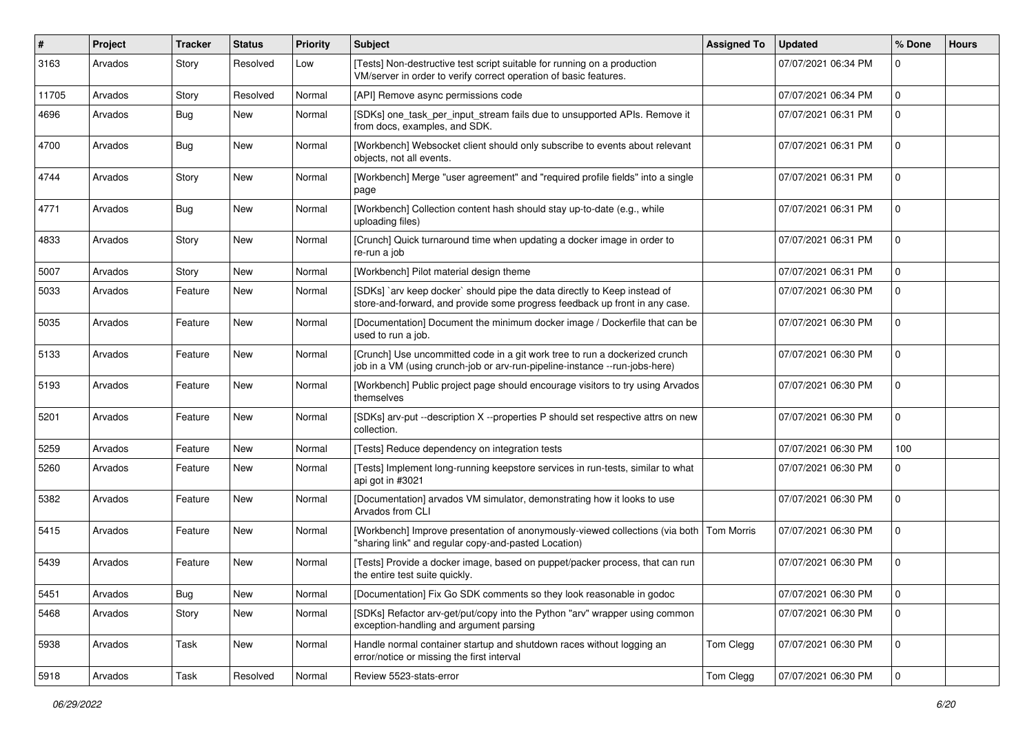| $\#$  | Project | Tracker    | <b>Status</b> | <b>Priority</b> | Subject                                                                                                                                                    | <b>Assigned To</b> | <b>Updated</b>      | % Done      | <b>Hours</b> |
|-------|---------|------------|---------------|-----------------|------------------------------------------------------------------------------------------------------------------------------------------------------------|--------------------|---------------------|-------------|--------------|
| 3163  | Arvados | Story      | Resolved      | Low             | [Tests] Non-destructive test script suitable for running on a production<br>VM/server in order to verify correct operation of basic features.              |                    | 07/07/2021 06:34 PM | 0           |              |
| 11705 | Arvados | Story      | Resolved      | Normal          | [API] Remove async permissions code                                                                                                                        |                    | 07/07/2021 06:34 PM | $\mathbf 0$ |              |
| 4696  | Arvados | <b>Bug</b> | New           | Normal          | [SDKs] one_task_per_input_stream fails due to unsupported APIs. Remove it<br>from docs, examples, and SDK.                                                 |                    | 07/07/2021 06:31 PM | $\Omega$    |              |
| 4700  | Arvados | <b>Bug</b> | New           | Normal          | [Workbench] Websocket client should only subscribe to events about relevant<br>objects, not all events.                                                    |                    | 07/07/2021 06:31 PM | $\Omega$    |              |
| 4744  | Arvados | Story      | New           | Normal          | [Workbench] Merge "user agreement" and "required profile fields" into a single<br>page                                                                     |                    | 07/07/2021 06:31 PM | $\mathbf 0$ |              |
| 4771  | Arvados | <b>Bug</b> | New           | Normal          | [Workbench] Collection content hash should stay up-to-date (e.g., while<br>uploading files)                                                                |                    | 07/07/2021 06:31 PM | $\Omega$    |              |
| 4833  | Arvados | Story      | New           | Normal          | [Crunch] Quick turnaround time when updating a docker image in order to<br>re-run a job                                                                    |                    | 07/07/2021 06:31 PM | $\Omega$    |              |
| 5007  | Arvados | Story      | New           | Normal          | [Workbench] Pilot material design theme                                                                                                                    |                    | 07/07/2021 06:31 PM | $\mathbf 0$ |              |
| 5033  | Arvados | Feature    | New           | Normal          | [SDKs] `arv keep docker` should pipe the data directly to Keep instead of<br>store-and-forward, and provide some progress feedback up front in any case.   |                    | 07/07/2021 06:30 PM | $\Omega$    |              |
| 5035  | Arvados | Feature    | New           | Normal          | [Documentation] Document the minimum docker image / Dockerfile that can be<br>used to run a job.                                                           |                    | 07/07/2021 06:30 PM | $\Omega$    |              |
| 5133  | Arvados | Feature    | New           | Normal          | [Crunch] Use uncommitted code in a git work tree to run a dockerized crunch<br>job in a VM (using crunch-job or arv-run-pipeline-instance --run-jobs-here) |                    | 07/07/2021 06:30 PM | $\mathbf 0$ |              |
| 5193  | Arvados | Feature    | New           | Normal          | [Workbench] Public project page should encourage visitors to try using Arvados<br>themselves                                                               |                    | 07/07/2021 06:30 PM | $\Omega$    |              |
| 5201  | Arvados | Feature    | New           | Normal          | [SDKs] arv-put --description X --properties P should set respective attrs on new<br>collection.                                                            |                    | 07/07/2021 06:30 PM | $\Omega$    |              |
| 5259  | Arvados | Feature    | New           | Normal          | [Tests] Reduce dependency on integration tests                                                                                                             |                    | 07/07/2021 06:30 PM | 100         |              |
| 5260  | Arvados | Feature    | New           | Normal          | [Tests] Implement long-running keepstore services in run-tests, similar to what<br>api got in #3021                                                        |                    | 07/07/2021 06:30 PM | 0           |              |
| 5382  | Arvados | Feature    | New           | Normal          | [Documentation] arvados VM simulator, demonstrating how it looks to use<br>Arvados from CLI                                                                |                    | 07/07/2021 06:30 PM | $\Omega$    |              |
| 5415  | Arvados | Feature    | New           | Normal          | [Workbench] Improve presentation of anonymously-viewed collections (via both Tom Morris<br>"sharing link" and regular copy-and-pasted Location)            |                    | 07/07/2021 06:30 PM | $\mathbf 0$ |              |
| 5439  | Arvados | Feature    | New           | Normal          | [Tests] Provide a docker image, based on puppet/packer process, that can run<br>the entire test suite quickly.                                             |                    | 07/07/2021 06:30 PM | 0           |              |
| 5451  | Arvados | Bug        | New           | Normal          | [Documentation] Fix Go SDK comments so they look reasonable in godoc                                                                                       |                    | 07/07/2021 06:30 PM | 0           |              |
| 5468  | Arvados | Story      | New           | Normal          | [SDKs] Refactor arv-get/put/copy into the Python "arv" wrapper using common<br>exception-handling and argument parsing                                     |                    | 07/07/2021 06:30 PM | $\mathbf 0$ |              |
| 5938  | Arvados | Task       | New           | Normal          | Handle normal container startup and shutdown races without logging an<br>error/notice or missing the first interval                                        | Tom Clegg          | 07/07/2021 06:30 PM | $\mathbf 0$ |              |
| 5918  | Arvados | Task       | Resolved      | Normal          | Review 5523-stats-error                                                                                                                                    | Tom Clegg          | 07/07/2021 06:30 PM | $\mathbf 0$ |              |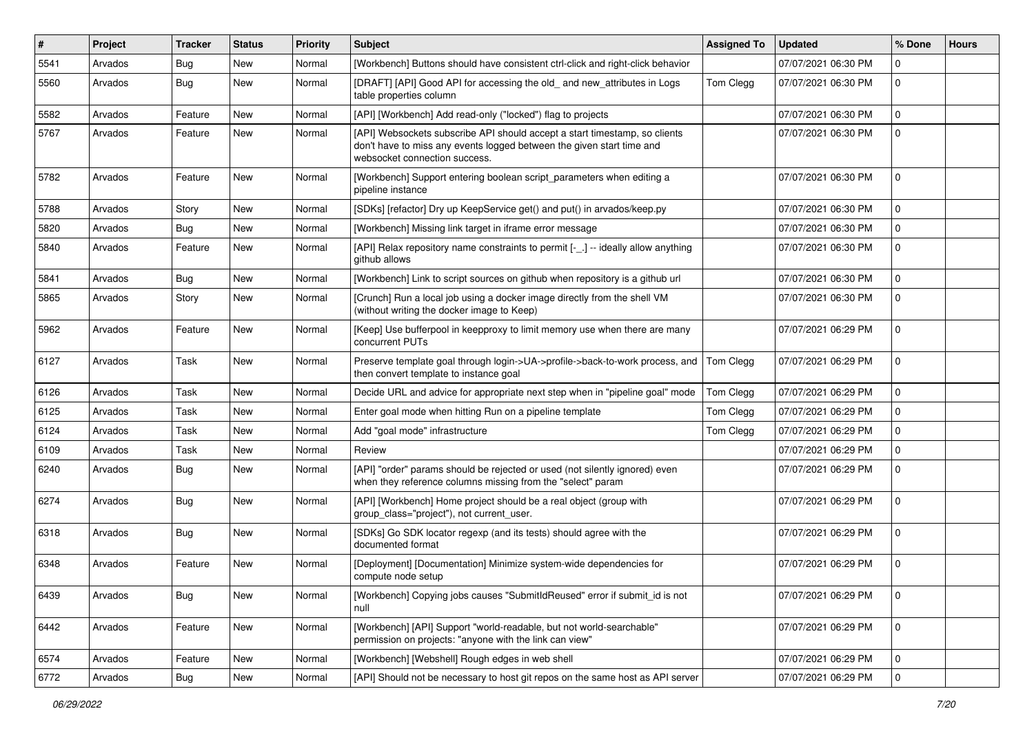| $\vert$ # | Project | <b>Tracker</b> | <b>Status</b> | Priority | Subject                                                                                                                                                                              | <b>Assigned To</b> | <b>Updated</b>      | % Done      | <b>Hours</b> |
|-----------|---------|----------------|---------------|----------|--------------------------------------------------------------------------------------------------------------------------------------------------------------------------------------|--------------------|---------------------|-------------|--------------|
| 5541      | Arvados | Bug            | New           | Normal   | [Workbench] Buttons should have consistent ctrl-click and right-click behavior                                                                                                       |                    | 07/07/2021 06:30 PM | 0           |              |
| 5560      | Arvados | Bug            | New           | Normal   | [DRAFT] [API] Good API for accessing the old_and new_attributes in Logs<br>table properties column                                                                                   | Tom Clegg          | 07/07/2021 06:30 PM | 0           |              |
| 5582      | Arvados | Feature        | <b>New</b>    | Normal   | [API] [Workbench] Add read-only ("locked") flag to projects                                                                                                                          |                    | 07/07/2021 06:30 PM | 0           |              |
| 5767      | Arvados | Feature        | New           | Normal   | [API] Websockets subscribe API should accept a start timestamp, so clients<br>don't have to miss any events logged between the given start time and<br>websocket connection success. |                    | 07/07/2021 06:30 PM | $\mathbf 0$ |              |
| 5782      | Arvados | Feature        | New           | Normal   | [Workbench] Support entering boolean script_parameters when editing a<br>pipeline instance                                                                                           |                    | 07/07/2021 06:30 PM | 0           |              |
| 5788      | Arvados | Story          | New           | Normal   | [SDKs] [refactor] Dry up KeepService get() and put() in arvados/keep.py                                                                                                              |                    | 07/07/2021 06:30 PM | $\mathbf 0$ |              |
| 5820      | Arvados | Bug            | New           | Normal   | [Workbench] Missing link target in iframe error message                                                                                                                              |                    | 07/07/2021 06:30 PM | $\mathbf 0$ |              |
| 5840      | Arvados | Feature        | New           | Normal   | [API] Relax repository name constraints to permit [-_.] -- ideally allow anything<br>github allows                                                                                   |                    | 07/07/2021 06:30 PM | 0           |              |
| 5841      | Arvados | Bug            | New           | Normal   | [Workbench] Link to script sources on github when repository is a github url                                                                                                         |                    | 07/07/2021 06:30 PM | $\mathbf 0$ |              |
| 5865      | Arvados | Story          | New           | Normal   | [Crunch] Run a local job using a docker image directly from the shell VM<br>(without writing the docker image to Keep)                                                               |                    | 07/07/2021 06:30 PM | 0           |              |
| 5962      | Arvados | Feature        | New           | Normal   | [Keep] Use bufferpool in keepproxy to limit memory use when there are many<br>concurrent PUTs                                                                                        |                    | 07/07/2021 06:29 PM | 0           |              |
| 6127      | Arvados | Task           | New           | Normal   | Preserve template goal through login->UA->profile->back-to-work process, and<br>then convert template to instance goal                                                               | <b>Tom Clegg</b>   | 07/07/2021 06:29 PM | 0           |              |
| 6126      | Arvados | Task           | New           | Normal   | Decide URL and advice for appropriate next step when in "pipeline goal" mode                                                                                                         | Tom Clegg          | 07/07/2021 06:29 PM | $\mathbf 0$ |              |
| 6125      | Arvados | Task           | New           | Normal   | Enter goal mode when hitting Run on a pipeline template                                                                                                                              | Tom Clegg          | 07/07/2021 06:29 PM | 0           |              |
| 6124      | Arvados | Task           | New           | Normal   | Add "goal mode" infrastructure                                                                                                                                                       | Tom Clegg          | 07/07/2021 06:29 PM | 0           |              |
| 6109      | Arvados | Task           | <b>New</b>    | Normal   | Review                                                                                                                                                                               |                    | 07/07/2021 06:29 PM | 0           |              |
| 6240      | Arvados | Bug            | New           | Normal   | [API] "order" params should be rejected or used (not silently ignored) even<br>when they reference columns missing from the "select" param                                           |                    | 07/07/2021 06:29 PM | 0           |              |
| 6274      | Arvados | Bug            | New           | Normal   | [API] [Workbench] Home project should be a real object (group with<br>group_class="project"), not current_user.                                                                      |                    | 07/07/2021 06:29 PM | 0           |              |
| 6318      | Arvados | Bug            | New           | Normal   | [SDKs] Go SDK locator regexp (and its tests) should agree with the<br>documented format                                                                                              |                    | 07/07/2021 06:29 PM | 0           |              |
| 6348      | Arvados | Feature        | New           | Normal   | [Deployment] [Documentation] Minimize system-wide dependencies for<br>compute node setup                                                                                             |                    | 07/07/2021 06:29 PM | 0           |              |
| 6439      | Arvados | Bug            | New           | Normal   | [Workbench] Copying jobs causes "SubmitIdReused" error if submit_id is not<br>null                                                                                                   |                    | 07/07/2021 06:29 PM | $\mathbf 0$ |              |
| 6442      | Arvados | Feature        | New           | Normal   | [Workbench] [API] Support "world-readable, but not world-searchable"<br>permission on projects: "anyone with the link can view"                                                      |                    | 07/07/2021 06:29 PM | $\mathbf 0$ |              |
| 6574      | Arvados | Feature        | New           | Normal   | [Workbench] [Webshell] Rough edges in web shell                                                                                                                                      |                    | 07/07/2021 06:29 PM | $\mathbf 0$ |              |
| 6772      | Arvados | <b>Bug</b>     | New           | Normal   | [API] Should not be necessary to host git repos on the same host as API server                                                                                                       |                    | 07/07/2021 06:29 PM | $\mathbf 0$ |              |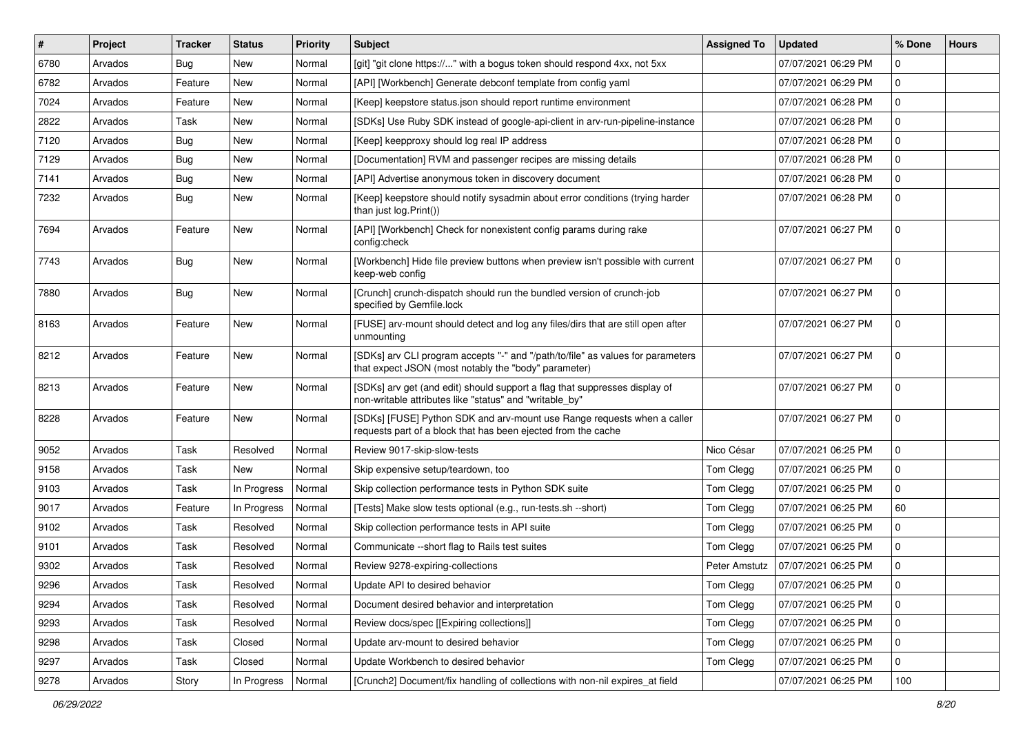| $\vert$ # | Project | <b>Tracker</b> | <b>Status</b> | Priority | <b>Subject</b>                                                                                                                           | <b>Assigned To</b> | <b>Updated</b>      | % Done      | <b>Hours</b> |
|-----------|---------|----------------|---------------|----------|------------------------------------------------------------------------------------------------------------------------------------------|--------------------|---------------------|-------------|--------------|
| 6780      | Arvados | <b>Bug</b>     | New           | Normal   | [git] "git clone https://" with a bogus token should respond 4xx, not 5xx                                                                |                    | 07/07/2021 06:29 PM | 0           |              |
| 6782      | Arvados | Feature        | New           | Normal   | [API] [Workbench] Generate debconf template from config yaml                                                                             |                    | 07/07/2021 06:29 PM | 0           |              |
| 7024      | Arvados | Feature        | New           | Normal   | [Keep] keepstore status.json should report runtime environment                                                                           |                    | 07/07/2021 06:28 PM | 0           |              |
| 2822      | Arvados | Task           | New           | Normal   | [SDKs] Use Ruby SDK instead of google-api-client in arv-run-pipeline-instance                                                            |                    | 07/07/2021 06:28 PM | 0           |              |
| 7120      | Arvados | <b>Bug</b>     | <b>New</b>    | Normal   | [Keep] keepproxy should log real IP address                                                                                              |                    | 07/07/2021 06:28 PM | 0           |              |
| 7129      | Arvados | <b>Bug</b>     | New           | Normal   | [Documentation] RVM and passenger recipes are missing details                                                                            |                    | 07/07/2021 06:28 PM | 0           |              |
| 7141      | Arvados | <b>Bug</b>     | New           | Normal   | [API] Advertise anonymous token in discovery document                                                                                    |                    | 07/07/2021 06:28 PM | 0           |              |
| 7232      | Arvados | Bug            | New           | Normal   | [Keep] keepstore should notify sysadmin about error conditions (trying harder<br>than just log. Print())                                 |                    | 07/07/2021 06:28 PM | 0           |              |
| 7694      | Arvados | Feature        | New           | Normal   | [API] [Workbench] Check for nonexistent config params during rake<br>config:check                                                        |                    | 07/07/2021 06:27 PM | 0           |              |
| 7743      | Arvados | Bug            | New           | Normal   | [Workbench] Hide file preview buttons when preview isn't possible with current<br>keep-web config                                        |                    | 07/07/2021 06:27 PM | 0           |              |
| 7880      | Arvados | Bug            | New           | Normal   | [Crunch] crunch-dispatch should run the bundled version of crunch-job<br>specified by Gemfile.lock                                       |                    | 07/07/2021 06:27 PM | 0           |              |
| 8163      | Arvados | Feature        | <b>New</b>    | Normal   | [FUSE] arv-mount should detect and log any files/dirs that are still open after<br>unmounting                                            |                    | 07/07/2021 06:27 PM | 0           |              |
| 8212      | Arvados | Feature        | New           | Normal   | [SDKs] arv CLI program accepts "-" and "/path/to/file" as values for parameters<br>that expect JSON (most notably the "body" parameter)  |                    | 07/07/2021 06:27 PM | 0           |              |
| 8213      | Arvados | Feature        | New           | Normal   | [SDKs] arv get (and edit) should support a flag that suppresses display of<br>non-writable attributes like "status" and "writable_by"    |                    | 07/07/2021 06:27 PM | 0           |              |
| 8228      | Arvados | Feature        | New           | Normal   | [SDKs] [FUSE] Python SDK and arv-mount use Range requests when a caller<br>requests part of a block that has been ejected from the cache |                    | 07/07/2021 06:27 PM | 0           |              |
| 9052      | Arvados | Task           | Resolved      | Normal   | Review 9017-skip-slow-tests                                                                                                              | Nico César         | 07/07/2021 06:25 PM | 0           |              |
| 9158      | Arvados | Task           | New           | Normal   | Skip expensive setup/teardown, too                                                                                                       | Tom Clegg          | 07/07/2021 06:25 PM | 0           |              |
| 9103      | Arvados | Task           | In Progress   | Normal   | Skip collection performance tests in Python SDK suite                                                                                    | Tom Clegg          | 07/07/2021 06:25 PM | 0           |              |
| 9017      | Arvados | Feature        | In Progress   | Normal   | [Tests] Make slow tests optional (e.g., run-tests.sh --short)                                                                            | Tom Clegg          | 07/07/2021 06:25 PM | 60          |              |
| 9102      | Arvados | Task           | Resolved      | Normal   | Skip collection performance tests in API suite                                                                                           | Tom Clegg          | 07/07/2021 06:25 PM | 0           |              |
| 9101      | Arvados | Task           | Resolved      | Normal   | Communicate -- short flag to Rails test suites                                                                                           | Tom Clegg          | 07/07/2021 06:25 PM | 0           |              |
| 9302      | Arvados | Task           | Resolved      | Normal   | Review 9278-expiring-collections                                                                                                         | Peter Amstutz      | 07/07/2021 06:25 PM | 0           |              |
| 9296      | Arvados | Task           | Resolved      | Normal   | Update API to desired behavior                                                                                                           | Tom Clegg          | 07/07/2021 06:25 PM | $\mathbf 0$ |              |
| 9294      | Arvados | Task           | Resolved      | Normal   | Document desired behavior and interpretation                                                                                             | Tom Clegg          | 07/07/2021 06:25 PM | 0           |              |
| 9293      | Arvados | Task           | Resolved      | Normal   | Review docs/spec [[Expiring collections]]                                                                                                | Tom Clegg          | 07/07/2021 06:25 PM | 0           |              |
| 9298      | Arvados | Task           | Closed        | Normal   | Update arv-mount to desired behavior                                                                                                     | Tom Clegg          | 07/07/2021 06:25 PM | 0           |              |
| 9297      | Arvados | Task           | Closed        | Normal   | Update Workbench to desired behavior                                                                                                     | Tom Clegg          | 07/07/2021 06:25 PM | 0           |              |
| 9278      | Arvados | Story          | In Progress   | Normal   | [Crunch2] Document/fix handling of collections with non-nil expires_at field                                                             |                    | 07/07/2021 06:25 PM | 100         |              |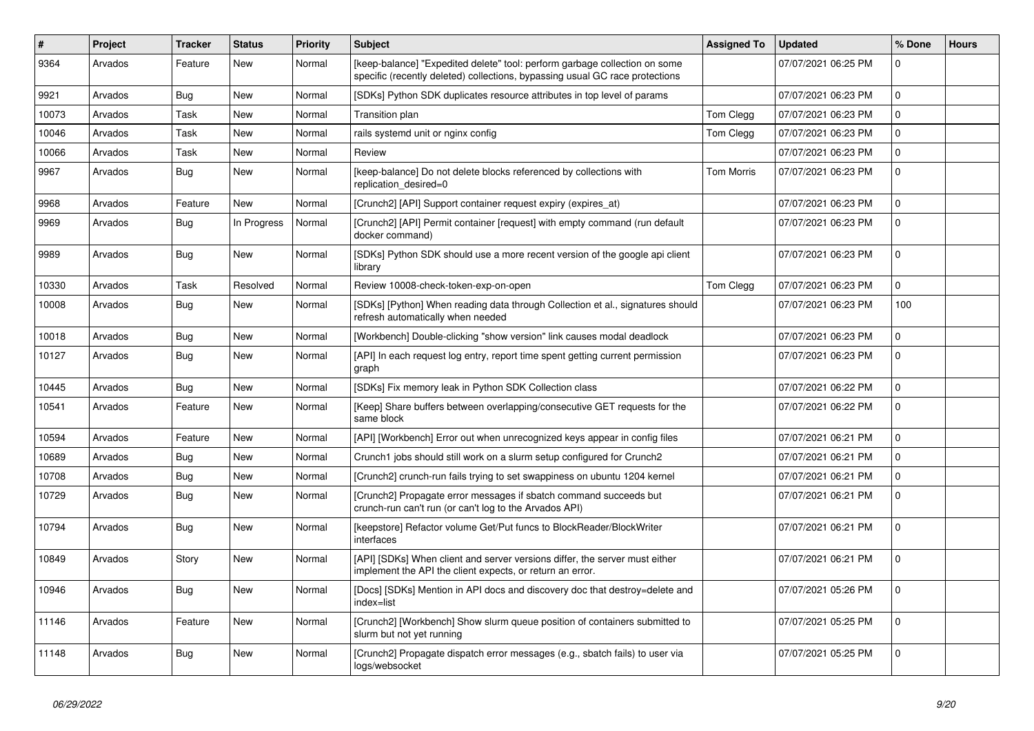| #     | Project | <b>Tracker</b> | <b>Status</b> | Priority | <b>Subject</b>                                                                                                                                             | <b>Assigned To</b> | <b>Updated</b>      | % Done      | <b>Hours</b> |
|-------|---------|----------------|---------------|----------|------------------------------------------------------------------------------------------------------------------------------------------------------------|--------------------|---------------------|-------------|--------------|
| 9364  | Arvados | Feature        | <b>New</b>    | Normal   | [keep-balance] "Expedited delete" tool: perform garbage collection on some<br>specific (recently deleted) collections, bypassing usual GC race protections |                    | 07/07/2021 06:25 PM | 0           |              |
| 9921  | Arvados | <b>Bug</b>     | New           | Normal   | [SDKs] Python SDK duplicates resource attributes in top level of params                                                                                    |                    | 07/07/2021 06:23 PM | $\Omega$    |              |
| 10073 | Arvados | Task           | New           | Normal   | <b>Transition plan</b>                                                                                                                                     | Tom Clegg          | 07/07/2021 06:23 PM | $\mathbf 0$ |              |
| 10046 | Arvados | Task           | New           | Normal   | rails systemd unit or nginx config                                                                                                                         | Tom Clegg          | 07/07/2021 06:23 PM | $\mathbf 0$ |              |
| 10066 | Arvados | Task           | New           | Normal   | Review                                                                                                                                                     |                    | 07/07/2021 06:23 PM | $\mathbf 0$ |              |
| 9967  | Arvados | Bug            | New           | Normal   | [keep-balance] Do not delete blocks referenced by collections with<br>replication desired=0                                                                | <b>Tom Morris</b>  | 07/07/2021 06:23 PM | $\Omega$    |              |
| 9968  | Arvados | Feature        | <b>New</b>    | Normal   | [Crunch2] [API] Support container request expiry (expires_at)                                                                                              |                    | 07/07/2021 06:23 PM | $\Omega$    |              |
| 9969  | Arvados | Bug            | In Progress   | Normal   | [Crunch2] [API] Permit container [request] with empty command (run default<br>docker command)                                                              |                    | 07/07/2021 06:23 PM | $\Omega$    |              |
| 9989  | Arvados | Bug            | New           | Normal   | [SDKs] Python SDK should use a more recent version of the google api client<br>library                                                                     |                    | 07/07/2021 06:23 PM | $\mathbf 0$ |              |
| 10330 | Arvados | Task           | Resolved      | Normal   | Review 10008-check-token-exp-on-open                                                                                                                       | Tom Clegg          | 07/07/2021 06:23 PM | $\Omega$    |              |
| 10008 | Arvados | <b>Bug</b>     | New           | Normal   | [SDKs] [Python] When reading data through Collection et al., signatures should<br>refresh automatically when needed                                        |                    | 07/07/2021 06:23 PM | 100         |              |
| 10018 | Arvados | Bug            | New           | Normal   | [Workbench] Double-clicking "show version" link causes modal deadlock                                                                                      |                    | 07/07/2021 06:23 PM | $\Omega$    |              |
| 10127 | Arvados | Bug            | New           | Normal   | [API] In each request log entry, report time spent getting current permission<br>graph                                                                     |                    | 07/07/2021 06:23 PM | $\Omega$    |              |
| 10445 | Arvados | <b>Bug</b>     | <b>New</b>    | Normal   | [SDKs] Fix memory leak in Python SDK Collection class                                                                                                      |                    | 07/07/2021 06:22 PM | $\Omega$    |              |
| 10541 | Arvados | Feature        | <b>New</b>    | Normal   | [Keep] Share buffers between overlapping/consecutive GET requests for the<br>same block                                                                    |                    | 07/07/2021 06:22 PM | $\Omega$    |              |
| 10594 | Arvados | Feature        | New           | Normal   | [API] [Workbench] Error out when unrecognized keys appear in config files                                                                                  |                    | 07/07/2021 06:21 PM | $\Omega$    |              |
| 10689 | Arvados | <b>Bug</b>     | New           | Normal   | Crunch1 jobs should still work on a slurm setup configured for Crunch2                                                                                     |                    | 07/07/2021 06:21 PM | 0           |              |
| 10708 | Arvados | Bug            | New           | Normal   | [Crunch2] crunch-run fails trying to set swappiness on ubuntu 1204 kernel                                                                                  |                    | 07/07/2021 06:21 PM | $\mathbf 0$ |              |
| 10729 | Arvados | <b>Bug</b>     | New           | Normal   | [Crunch2] Propagate error messages if sbatch command succeeds but<br>crunch-run can't run (or can't log to the Arvados API)                                |                    | 07/07/2021 06:21 PM | $\Omega$    |              |
| 10794 | Arvados | <b>Bug</b>     | <b>New</b>    | Normal   | [keepstore] Refactor volume Get/Put funcs to BlockReader/BlockWriter<br>interfaces                                                                         |                    | 07/07/2021 06:21 PM | $\Omega$    |              |
| 10849 | Arvados | Story          | <b>New</b>    | Normal   | [API] [SDKs] When client and server versions differ, the server must either<br>implement the API the client expects, or return an error.                   |                    | 07/07/2021 06:21 PM | $\Omega$    |              |
| 10946 | Arvados | Bug            | New           | Normal   | [Docs] [SDKs] Mention in API docs and discovery doc that destroy=delete and<br>index=list                                                                  |                    | 07/07/2021 05:26 PM | $\Omega$    |              |
| 11146 | Arvados | Feature        | New           | Normal   | [Crunch2] [Workbench] Show slurm queue position of containers submitted to<br>slurm but not yet running                                                    |                    | 07/07/2021 05:25 PM | $\Omega$    |              |
| 11148 | Arvados | Bug            | <b>New</b>    | Normal   | [Crunch2] Propagate dispatch error messages (e.g., sbatch fails) to user via<br>logs/websocket                                                             |                    | 07/07/2021 05:25 PM | $\Omega$    |              |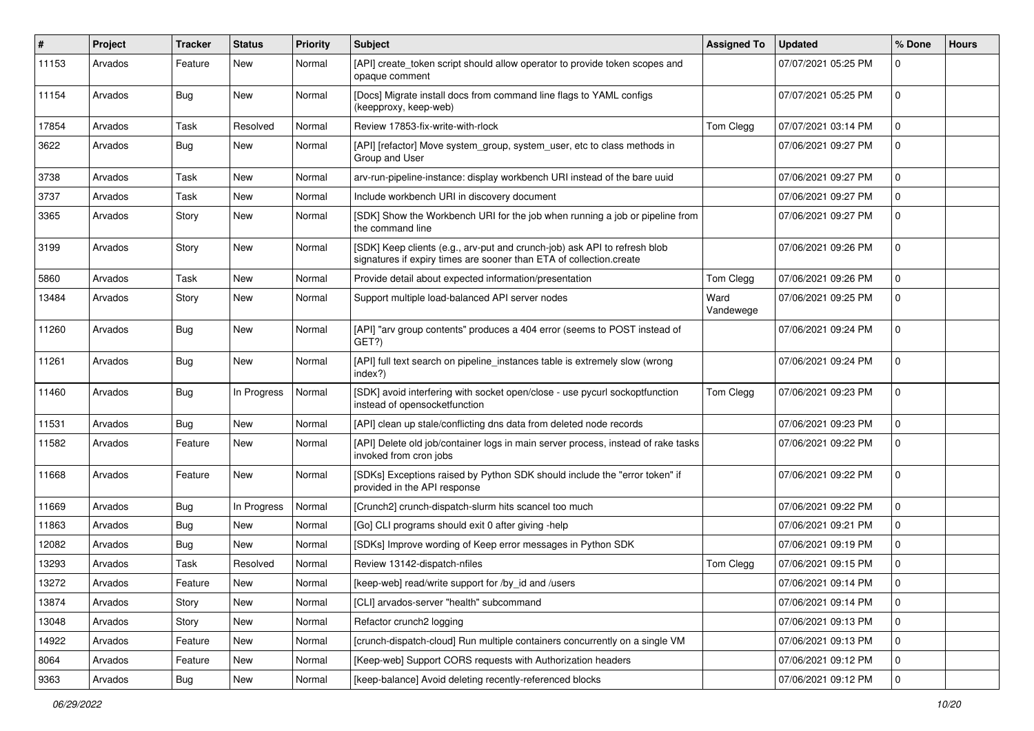| #     | Project | Tracker    | <b>Status</b> | <b>Priority</b> | <b>Subject</b>                                                                                                                                   | <b>Assigned To</b> | <b>Updated</b>      | % Done       | <b>Hours</b> |
|-------|---------|------------|---------------|-----------------|--------------------------------------------------------------------------------------------------------------------------------------------------|--------------------|---------------------|--------------|--------------|
| 11153 | Arvados | Feature    | New           | Normal          | [API] create_token script should allow operator to provide token scopes and<br>opaque comment                                                    |                    | 07/07/2021 05:25 PM | 0            |              |
| 11154 | Arvados | <b>Bug</b> | New           | Normal          | [Docs] Migrate install docs from command line flags to YAML configs<br>(keepproxy, keep-web)                                                     |                    | 07/07/2021 05:25 PM | $\Omega$     |              |
| 17854 | Arvados | Task       | Resolved      | Normal          | Review 17853-fix-write-with-rlock                                                                                                                | Tom Clegg          | 07/07/2021 03:14 PM | 0            |              |
| 3622  | Arvados | <b>Bug</b> | New           | Normal          | [API] [refactor] Move system_group, system_user, etc to class methods in<br>Group and User                                                       |                    | 07/06/2021 09:27 PM | $\Omega$     |              |
| 3738  | Arvados | Task       | New           | Normal          | arv-run-pipeline-instance: display workbench URI instead of the bare uuid                                                                        |                    | 07/06/2021 09:27 PM | 0            |              |
| 3737  | Arvados | Task       | <b>New</b>    | Normal          | Include workbench URI in discovery document                                                                                                      |                    | 07/06/2021 09:27 PM | 0            |              |
| 3365  | Arvados | Story      | New           | Normal          | [SDK] Show the Workbench URI for the job when running a job or pipeline from<br>the command line                                                 |                    | 07/06/2021 09:27 PM | $\Omega$     |              |
| 3199  | Arvados | Story      | New           | Normal          | [SDK] Keep clients (e.g., arv-put and crunch-job) ask API to refresh blob<br>signatures if expiry times are sooner than ETA of collection.create |                    | 07/06/2021 09:26 PM | 0            |              |
| 5860  | Arvados | Task       | New           | Normal          | Provide detail about expected information/presentation                                                                                           | Tom Clegg          | 07/06/2021 09:26 PM | $\Omega$     |              |
| 13484 | Arvados | Story      | New           | Normal          | Support multiple load-balanced API server nodes                                                                                                  | Ward<br>Vandewege  | 07/06/2021 09:25 PM | $\Omega$     |              |
| 11260 | Arvados | Bug        | New           | Normal          | [API] "arv group contents" produces a 404 error (seems to POST instead of<br>GET?)                                                               |                    | 07/06/2021 09:24 PM | 0            |              |
| 11261 | Arvados | <b>Bug</b> | New           | Normal          | [API] full text search on pipeline_instances table is extremely slow (wrong<br>index?)                                                           |                    | 07/06/2021 09:24 PM | 0            |              |
| 11460 | Arvados | <b>Bug</b> | In Progress   | Normal          | [SDK] avoid interfering with socket open/close - use pycurl sockoptfunction<br>instead of opensocketfunction                                     | Tom Clegg          | 07/06/2021 09:23 PM | $\Omega$     |              |
| 11531 | Arvados | Bug        | New           | Normal          | [API] clean up stale/conflicting dns data from deleted node records                                                                              |                    | 07/06/2021 09:23 PM | 0            |              |
| 11582 | Arvados | Feature    | <b>New</b>    | Normal          | [API] Delete old job/container logs in main server process, instead of rake tasks<br>invoked from cron jobs                                      |                    | 07/06/2021 09:22 PM | $\Omega$     |              |
| 11668 | Arvados | Feature    | New           | Normal          | [SDKs] Exceptions raised by Python SDK should include the "error token" if<br>provided in the API response                                       |                    | 07/06/2021 09:22 PM | 0            |              |
| 11669 | Arvados | <b>Bug</b> | In Progress   | Normal          | [Crunch2] crunch-dispatch-slurm hits scancel too much                                                                                            |                    | 07/06/2021 09:22 PM | 0            |              |
| 11863 | Arvados | <b>Bug</b> | New           | Normal          | [Go] CLI programs should exit 0 after giving -help                                                                                               |                    | 07/06/2021 09:21 PM | $\mathbf 0$  |              |
| 12082 | Arvados | Bug        | New           | Normal          | [SDKs] Improve wording of Keep error messages in Python SDK                                                                                      |                    | 07/06/2021 09:19 PM | 0            |              |
| 13293 | Arvados | Task       | Resolved      | Normal          | Review 13142-dispatch-nfiles                                                                                                                     | Tom Clegg          | 07/06/2021 09:15 PM | 0            |              |
| 13272 | Arvados | Feature    | New           | Normal          | [keep-web] read/write support for /by_id and /users                                                                                              |                    | 07/06/2021 09:14 PM | 0            |              |
| 13874 | Arvados | Story      | New           | Normal          | [CLI] arvados-server "health" subcommand                                                                                                         |                    | 07/06/2021 09:14 PM | $\mathbf{0}$ |              |
| 13048 | Arvados | Story      | New           | Normal          | Refactor crunch2 logging                                                                                                                         |                    | 07/06/2021 09:13 PM | 0            |              |
| 14922 | Arvados | Feature    | New           | Normal          | [crunch-dispatch-cloud] Run multiple containers concurrently on a single VM                                                                      |                    | 07/06/2021 09:13 PM | 0            |              |
| 8064  | Arvados | Feature    | New           | Normal          | [Keep-web] Support CORS requests with Authorization headers                                                                                      |                    | 07/06/2021 09:12 PM | 0            |              |
| 9363  | Arvados | <b>Bug</b> | New           | Normal          | [keep-balance] Avoid deleting recently-referenced blocks                                                                                         |                    | 07/06/2021 09:12 PM | $\mathbf{0}$ |              |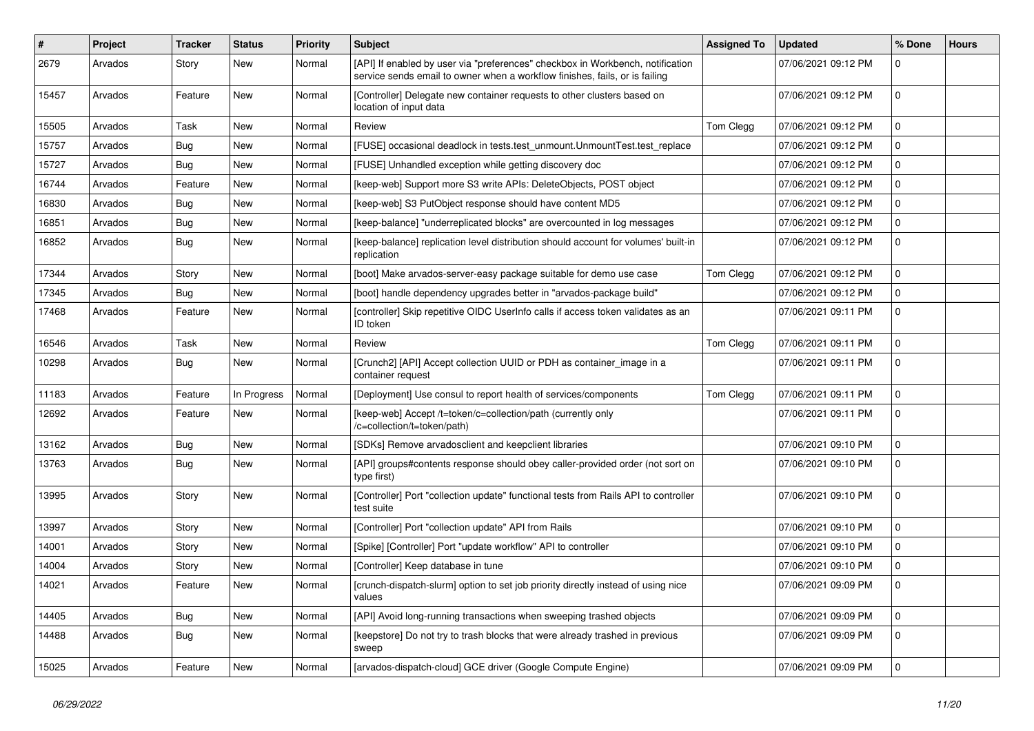| #     | Project | <b>Tracker</b> | <b>Status</b> | <b>Priority</b> | <b>Subject</b>                                                                                                                                                | <b>Assigned To</b> | <b>Updated</b>      | % Done      | <b>Hours</b> |
|-------|---------|----------------|---------------|-----------------|---------------------------------------------------------------------------------------------------------------------------------------------------------------|--------------------|---------------------|-------------|--------------|
| 2679  | Arvados | Story          | New           | Normal          | [API] If enabled by user via "preferences" checkbox in Workbench, notification<br>service sends email to owner when a workflow finishes, fails, or is failing |                    | 07/06/2021 09:12 PM | 0           |              |
| 15457 | Arvados | Feature        | New           | Normal          | [Controller] Delegate new container requests to other clusters based on<br>location of input data                                                             |                    | 07/06/2021 09:12 PM | $\Omega$    |              |
| 15505 | Arvados | Task           | New           | Normal          | Review                                                                                                                                                        | Tom Clegg          | 07/06/2021 09:12 PM | $\mathbf 0$ |              |
| 15757 | Arvados | Bug            | New           | Normal          | [FUSE] occasional deadlock in tests.test unmount.UnmountTest.test replace                                                                                     |                    | 07/06/2021 09:12 PM | $\mathbf 0$ |              |
| 15727 | Arvados | Bug            | New           | Normal          | [FUSE] Unhandled exception while getting discovery doc                                                                                                        |                    | 07/06/2021 09:12 PM | $\mathbf 0$ |              |
| 16744 | Arvados | Feature        | New           | Normal          | [keep-web] Support more S3 write APIs: DeleteObjects, POST object                                                                                             |                    | 07/06/2021 09:12 PM | $\mathbf 0$ |              |
| 16830 | Arvados | <b>Bug</b>     | New           | Normal          | [keep-web] S3 PutObject response should have content MD5                                                                                                      |                    | 07/06/2021 09:12 PM | $\mathbf 0$ |              |
| 16851 | Arvados | Bug            | New           | Normal          | [keep-balance] "underreplicated blocks" are overcounted in log messages                                                                                       |                    | 07/06/2021 09:12 PM | $\mathbf 0$ |              |
| 16852 | Arvados | Bug            | New           | Normal          | [keep-balance] replication level distribution should account for volumes' built-in<br>replication                                                             |                    | 07/06/2021 09:12 PM | $\mathbf 0$ |              |
| 17344 | Arvados | Story          | <b>New</b>    | Normal          | [boot] Make arvados-server-easy package suitable for demo use case                                                                                            | Tom Clegg          | 07/06/2021 09:12 PM | $\Omega$    |              |
| 17345 | Arvados | <b>Bug</b>     | New           | Normal          | [boot] handle dependency upgrades better in "arvados-package build"                                                                                           |                    | 07/06/2021 09:12 PM | $\Omega$    |              |
| 17468 | Arvados | Feature        | New           | Normal          | [controller] Skip repetitive OIDC UserInfo calls if access token validates as an<br>ID token                                                                  |                    | 07/06/2021 09:11 PM | $\Omega$    |              |
| 16546 | Arvados | Task           | New           | Normal          | Review                                                                                                                                                        | Tom Clegg          | 07/06/2021 09:11 PM | $\Omega$    |              |
| 10298 | Arvados | Bug            | New           | Normal          | [Crunch2] [API] Accept collection UUID or PDH as container_image in a<br>container request                                                                    |                    | 07/06/2021 09:11 PM | $\mathbf 0$ |              |
| 11183 | Arvados | Feature        | In Progress   | Normal          | [Deployment] Use consul to report health of services/components                                                                                               | Tom Clegg          | 07/06/2021 09:11 PM | $\mathbf 0$ |              |
| 12692 | Arvados | Feature        | New           | Normal          | [keep-web] Accept /t=token/c=collection/path (currently only<br>/c=collection/t=token/path)                                                                   |                    | 07/06/2021 09:11 PM | $\Omega$    |              |
| 13162 | Arvados | <b>Bug</b>     | New           | Normal          | [SDKs] Remove arvadosclient and keepclient libraries                                                                                                          |                    | 07/06/2021 09:10 PM | $\mathbf 0$ |              |
| 13763 | Arvados | Bug            | New           | Normal          | [API] groups#contents response should obey caller-provided order (not sort on<br>type first)                                                                  |                    | 07/06/2021 09:10 PM | $\Omega$    |              |
| 13995 | Arvados | Story          | <b>New</b>    | Normal          | [Controller] Port "collection update" functional tests from Rails API to controller<br>test suite                                                             |                    | 07/06/2021 09:10 PM | $\Omega$    |              |
| 13997 | Arvados | Story          | <b>New</b>    | Normal          | [Controller] Port "collection update" API from Rails                                                                                                          |                    | 07/06/2021 09:10 PM | $\Omega$    |              |
| 14001 | Arvados | Story          | New           | Normal          | [Spike] [Controller] Port "update workflow" API to controller                                                                                                 |                    | 07/06/2021 09:10 PM | $\mathbf 0$ |              |
| 14004 | Arvados | Story          | New           | Normal          | [Controller] Keep database in tune                                                                                                                            |                    | 07/06/2021 09:10 PM | $\Omega$    |              |
| 14021 | Arvados | Feature        | New           | Normal          | [crunch-dispatch-slurm] option to set job priority directly instead of using nice<br>values                                                                   |                    | 07/06/2021 09:09 PM | $\Omega$    |              |
| 14405 | Arvados | Bug            | New           | Normal          | [API] Avoid long-running transactions when sweeping trashed objects                                                                                           |                    | 07/06/2021 09:09 PM | $\mathbf 0$ |              |
| 14488 | Arvados | Bug            | New           | Normal          | [keepstore] Do not try to trash blocks that were already trashed in previous<br>sweep                                                                         |                    | 07/06/2021 09:09 PM | $\mathbf 0$ |              |
| 15025 | Arvados | Feature        | New           | Normal          | [arvados-dispatch-cloud] GCE driver (Google Compute Engine)                                                                                                   |                    | 07/06/2021 09:09 PM | $\mathbf 0$ |              |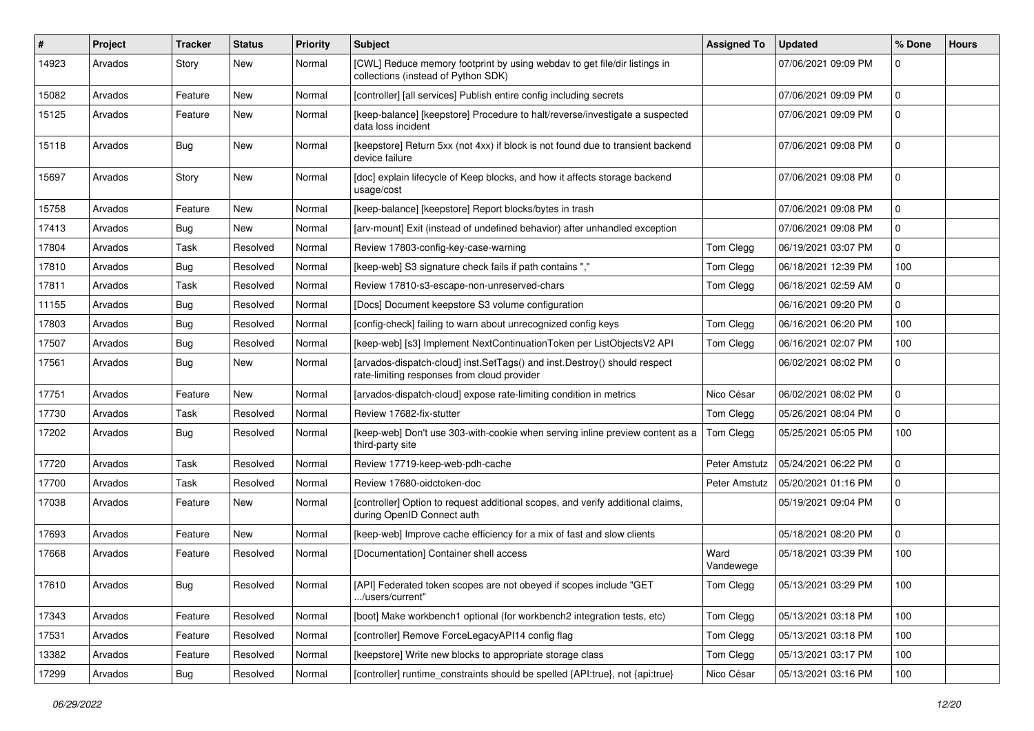| ∦     | Project | <b>Tracker</b> | <b>Status</b> | <b>Priority</b> | Subject                                                                                                                  | <b>Assigned To</b> | <b>Updated</b>      | % Done      | <b>Hours</b> |
|-------|---------|----------------|---------------|-----------------|--------------------------------------------------------------------------------------------------------------------------|--------------------|---------------------|-------------|--------------|
| 14923 | Arvados | Story          | New           | Normal          | [CWL] Reduce memory footprint by using webdav to get file/dir listings in<br>collections (instead of Python SDK)         |                    | 07/06/2021 09:09 PM | 0           |              |
| 15082 | Arvados | Feature        | New           | Normal          | [controller] [all services] Publish entire config including secrets                                                      |                    | 07/06/2021 09:09 PM | $\mathbf 0$ |              |
| 15125 | Arvados | Feature        | New           | Normal          | [keep-balance] [keepstore] Procedure to halt/reverse/investigate a suspected<br>data loss incident                       |                    | 07/06/2021 09:09 PM | $\Omega$    |              |
| 15118 | Arvados | <b>Bug</b>     | New           | Normal          | [keepstore] Return 5xx (not 4xx) if block is not found due to transient backend<br>device failure                        |                    | 07/06/2021 09:08 PM | 0           |              |
| 15697 | Arvados | Story          | New           | Normal          | [doc] explain lifecycle of Keep blocks, and how it affects storage backend<br>usage/cost                                 |                    | 07/06/2021 09:08 PM | 0           |              |
| 15758 | Arvados | Feature        | New           | Normal          | [keep-balance] [keepstore] Report blocks/bytes in trash                                                                  |                    | 07/06/2021 09:08 PM | $\mathbf 0$ |              |
| 17413 | Arvados | <b>Bug</b>     | New           | Normal          | [arv-mount] Exit (instead of undefined behavior) after unhandled exception                                               |                    | 07/06/2021 09:08 PM | 0           |              |
| 17804 | Arvados | Task           | Resolved      | Normal          | Review 17803-config-key-case-warning                                                                                     | Tom Clegg          | 06/19/2021 03:07 PM | 0           |              |
| 17810 | Arvados | Bug            | Resolved      | Normal          | [keep-web] S3 signature check fails if path contains","                                                                  | Tom Clegg          | 06/18/2021 12:39 PM | 100         |              |
| 17811 | Arvados | Task           | Resolved      | Normal          | Review 17810-s3-escape-non-unreserved-chars                                                                              | Tom Clegg          | 06/18/2021 02:59 AM | $\Omega$    |              |
| 11155 | Arvados | <b>Bug</b>     | Resolved      | Normal          | [Docs] Document keepstore S3 volume configuration                                                                        |                    | 06/16/2021 09:20 PM | $\Omega$    |              |
| 17803 | Arvados | <b>Bug</b>     | Resolved      | Normal          | [config-check] failing to warn about unrecognized config keys                                                            | Tom Clegg          | 06/16/2021 06:20 PM | 100         |              |
| 17507 | Arvados | <b>Bug</b>     | Resolved      | Normal          | [keep-web] [s3] Implement NextContinuationToken per ListObjectsV2 API                                                    | Tom Clegg          | 06/16/2021 02:07 PM | 100         |              |
| 17561 | Arvados | <b>Bug</b>     | New           | Normal          | [arvados-dispatch-cloud] inst.SetTags() and inst.Destroy() should respect<br>rate-limiting responses from cloud provider |                    | 06/02/2021 08:02 PM | 0           |              |
| 17751 | Arvados | Feature        | New           | Normal          | [arvados-dispatch-cloud] expose rate-limiting condition in metrics                                                       | Nico César         | 06/02/2021 08:02 PM | 0           |              |
| 17730 | Arvados | Task           | Resolved      | Normal          | Review 17682-fix-stutter                                                                                                 | Tom Clegg          | 05/26/2021 08:04 PM | $\Omega$    |              |
| 17202 | Arvados | <b>Bug</b>     | Resolved      | Normal          | [keep-web] Don't use 303-with-cookie when serving inline preview content as a<br>third-party site                        | Tom Clegg          | 05/25/2021 05:05 PM | 100         |              |
| 17720 | Arvados | Task           | Resolved      | Normal          | Review 17719-keep-web-pdh-cache                                                                                          | Peter Amstutz      | 05/24/2021 06:22 PM | $\mathbf 0$ |              |
| 17700 | Arvados | Task           | Resolved      | Normal          | Review 17680-oidctoken-doc                                                                                               | Peter Amstutz      | 05/20/2021 01:16 PM | 0           |              |
| 17038 | Arvados | Feature        | New           | Normal          | [controller] Option to request additional scopes, and verify additional claims,<br>during OpenID Connect auth            |                    | 05/19/2021 09:04 PM | 0           |              |
| 17693 | Arvados | Feature        | New           | Normal          | [keep-web] Improve cache efficiency for a mix of fast and slow clients                                                   |                    | 05/18/2021 08:20 PM | $\mathbf 0$ |              |
| 17668 | Arvados | Feature        | Resolved      | Normal          | [Documentation] Container shell access                                                                                   | Ward<br>Vandewege  | 05/18/2021 03:39 PM | 100         |              |
| 17610 | Arvados | <b>Bug</b>     | Resolved      | Normal          | [API] Federated token scopes are not obeyed if scopes include "GET<br>/users/current"                                    | Tom Clegg          | 05/13/2021 03:29 PM | 100         |              |
| 17343 | Arvados | Feature        | Resolved      | Normal          | [boot] Make workbench1 optional (for workbench2 integration tests, etc)                                                  | Tom Clegg          | 05/13/2021 03:18 PM | 100         |              |
| 17531 | Arvados | Feature        | Resolved      | Normal          | [controller] Remove ForceLegacyAPI14 config flag                                                                         | Tom Clegg          | 05/13/2021 03:18 PM | 100         |              |
| 13382 | Arvados | Feature        | Resolved      | Normal          | [keepstore] Write new blocks to appropriate storage class                                                                | Tom Clegg          | 05/13/2021 03:17 PM | 100         |              |
| 17299 | Arvados | Bug            | Resolved      | Normal          | [controller] runtime constraints should be spelled {API:true}, not {api:true}                                            | Nico César         | 05/13/2021 03:16 PM | 100         |              |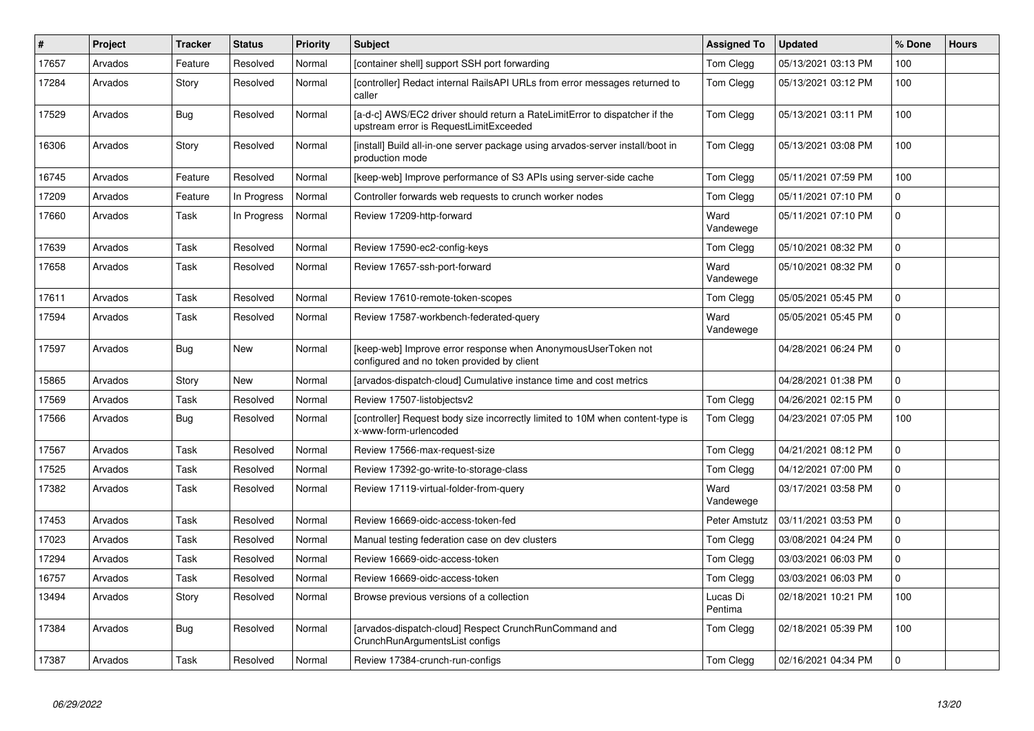| #     | Project | <b>Tracker</b> | <b>Status</b> | Priority | <b>Subject</b>                                                                                                       | <b>Assigned To</b>  | <b>Updated</b>      | % Done | <b>Hours</b> |
|-------|---------|----------------|---------------|----------|----------------------------------------------------------------------------------------------------------------------|---------------------|---------------------|--------|--------------|
| 17657 | Arvados | Feature        | Resolved      | Normal   | [container shell] support SSH port forwarding                                                                        | Tom Clegg           | 05/13/2021 03:13 PM | 100    |              |
| 17284 | Arvados | Story          | Resolved      | Normal   | [controller] Redact internal RailsAPI URLs from error messages returned to<br>caller                                 | Tom Clegg           | 05/13/2021 03:12 PM | 100    |              |
| 17529 | Arvados | <b>Bug</b>     | Resolved      | Normal   | [a-d-c] AWS/EC2 driver should return a RateLimitError to dispatcher if the<br>upstream error is RequestLimitExceeded | Tom Clegg           | 05/13/2021 03:11 PM | 100    |              |
| 16306 | Arvados | Story          | Resolved      | Normal   | [install] Build all-in-one server package using arvados-server install/boot in<br>production mode                    | Tom Clegg           | 05/13/2021 03:08 PM | 100    |              |
| 16745 | Arvados | Feature        | Resolved      | Normal   | [keep-web] Improve performance of S3 APIs using server-side cache                                                    | Tom Clegg           | 05/11/2021 07:59 PM | 100    |              |
| 17209 | Arvados | Feature        | In Progress   | Normal   | Controller forwards web requests to crunch worker nodes                                                              | Tom Clegg           | 05/11/2021 07:10 PM | 0      |              |
| 17660 | Arvados | Task           | In Progress   | Normal   | Review 17209-http-forward                                                                                            | Ward<br>Vandewege   | 05/11/2021 07:10 PM | 0      |              |
| 17639 | Arvados | Task           | Resolved      | Normal   | Review 17590-ec2-config-keys                                                                                         | Tom Clegg           | 05/10/2021 08:32 PM | 0      |              |
| 17658 | Arvados | Task           | Resolved      | Normal   | Review 17657-ssh-port-forward                                                                                        | Ward<br>Vandewege   | 05/10/2021 08:32 PM | 0      |              |
| 17611 | Arvados | Task           | Resolved      | Normal   | Review 17610-remote-token-scopes                                                                                     | Tom Clegg           | 05/05/2021 05:45 PM | 0      |              |
| 17594 | Arvados | Task           | Resolved      | Normal   | Review 17587-workbench-federated-query                                                                               | Ward<br>Vandewege   | 05/05/2021 05:45 PM | 0      |              |
| 17597 | Arvados | Bug            | New           | Normal   | [keep-web] Improve error response when AnonymousUserToken not<br>configured and no token provided by client          |                     | 04/28/2021 06:24 PM | 0      |              |
| 15865 | Arvados | Story          | <b>New</b>    | Normal   | [arvados-dispatch-cloud] Cumulative instance time and cost metrics                                                   |                     | 04/28/2021 01:38 PM | 0      |              |
| 17569 | Arvados | Task           | Resolved      | Normal   | Review 17507-listobjectsv2                                                                                           | Tom Clegg           | 04/26/2021 02:15 PM | 0      |              |
| 17566 | Arvados | Bug            | Resolved      | Normal   | [controller] Request body size incorrectly limited to 10M when content-type is<br>x-www-form-urlencoded              | Tom Clegg           | 04/23/2021 07:05 PM | 100    |              |
| 17567 | Arvados | Task           | Resolved      | Normal   | Review 17566-max-request-size                                                                                        | Tom Clegg           | 04/21/2021 08:12 PM | 0      |              |
| 17525 | Arvados | Task           | Resolved      | Normal   | Review 17392-go-write-to-storage-class                                                                               | Tom Clegg           | 04/12/2021 07:00 PM | 0      |              |
| 17382 | Arvados | Task           | Resolved      | Normal   | Review 17119-virtual-folder-from-query                                                                               | Ward<br>Vandewege   | 03/17/2021 03:58 PM | 0      |              |
| 17453 | Arvados | Task           | Resolved      | Normal   | Review 16669-oidc-access-token-fed                                                                                   | Peter Amstutz       | 03/11/2021 03:53 PM | 0      |              |
| 17023 | Arvados | Task           | Resolved      | Normal   | Manual testing federation case on dev clusters                                                                       | Tom Clegg           | 03/08/2021 04:24 PM | 0      |              |
| 17294 | Arvados | Task           | Resolved      | Normal   | Review 16669-oidc-access-token                                                                                       | Tom Clegg           | 03/03/2021 06:03 PM | 0      |              |
| 16757 | Arvados | Task           | Resolved      | Normal   | Review 16669-oidc-access-token                                                                                       | Tom Clegg           | 03/03/2021 06:03 PM | 0      |              |
| 13494 | Arvados | Story          | Resolved      | Normal   | Browse previous versions of a collection                                                                             | Lucas Di<br>Pentima | 02/18/2021 10:21 PM | 100    |              |
| 17384 | Arvados | Bug            | Resolved      | Normal   | [arvados-dispatch-cloud] Respect CrunchRunCommand and<br>CrunchRunArgumentsList configs                              | Tom Clegg           | 02/18/2021 05:39 PM | 100    |              |
| 17387 | Arvados | Task           | Resolved      | Normal   | Review 17384-crunch-run-configs                                                                                      | Tom Clegg           | 02/16/2021 04:34 PM | 0      |              |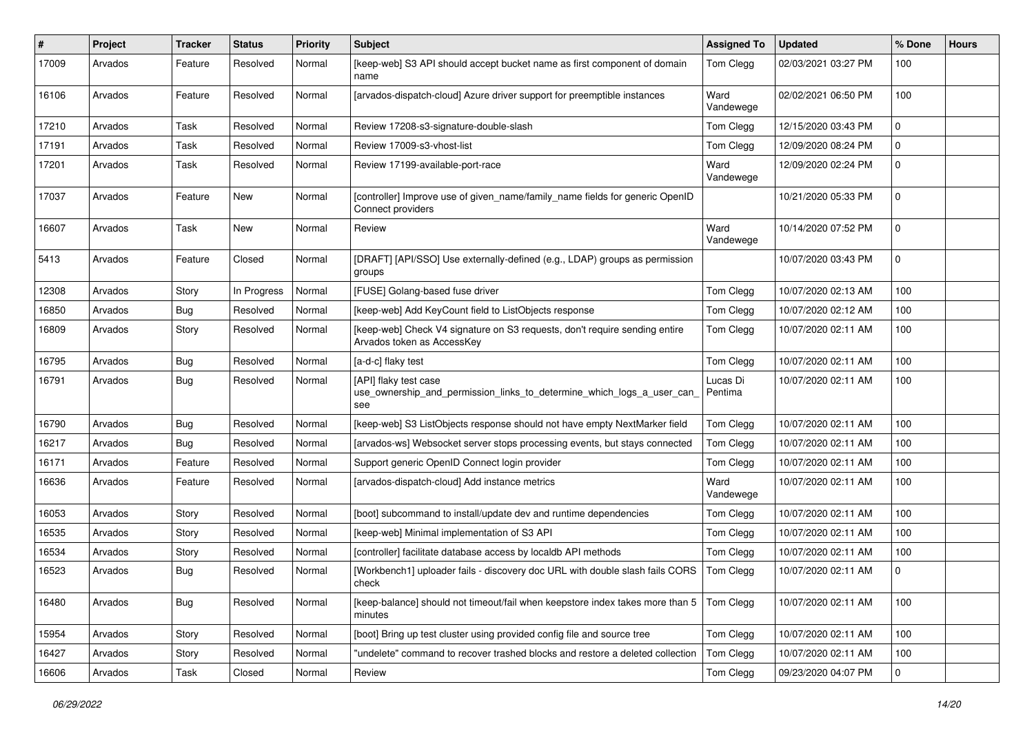| #     | Project | <b>Tracker</b> | <b>Status</b> | <b>Priority</b> | Subject                                                                                                  | <b>Assigned To</b>  | <b>Updated</b>      | % Done      | <b>Hours</b> |
|-------|---------|----------------|---------------|-----------------|----------------------------------------------------------------------------------------------------------|---------------------|---------------------|-------------|--------------|
| 17009 | Arvados | Feature        | Resolved      | Normal          | [keep-web] S3 API should accept bucket name as first component of domain<br>name                         | Tom Clegg           | 02/03/2021 03:27 PM | 100         |              |
| 16106 | Arvados | Feature        | Resolved      | Normal          | [arvados-dispatch-cloud] Azure driver support for preemptible instances                                  | Ward<br>Vandewege   | 02/02/2021 06:50 PM | 100         |              |
| 17210 | Arvados | Task           | Resolved      | Normal          | Review 17208-s3-signature-double-slash                                                                   | Tom Clegg           | 12/15/2020 03:43 PM | $\mathbf 0$ |              |
| 17191 | Arvados | Task           | Resolved      | Normal          | Review 17009-s3-vhost-list                                                                               | Tom Clegg           | 12/09/2020 08:24 PM | 0           |              |
| 17201 | Arvados | Task           | Resolved      | Normal          | Review 17199-available-port-race                                                                         | Ward<br>Vandewege   | 12/09/2020 02:24 PM | $\Omega$    |              |
| 17037 | Arvados | Feature        | New           | Normal          | [controller] Improve use of given_name/family_name fields for generic OpenID<br>Connect providers        |                     | 10/21/2020 05:33 PM | 0           |              |
| 16607 | Arvados | Task           | New           | Normal          | Review                                                                                                   | Ward<br>Vandewege   | 10/14/2020 07:52 PM | $\Omega$    |              |
| 5413  | Arvados | Feature        | Closed        | Normal          | [DRAFT] [API/SSO] Use externally-defined (e.g., LDAP) groups as permission<br>groups                     |                     | 10/07/2020 03:43 PM | $\mathbf 0$ |              |
| 12308 | Arvados | Story          | In Progress   | Normal          | [FUSE] Golang-based fuse driver                                                                          | Tom Clegg           | 10/07/2020 02:13 AM | 100         |              |
| 16850 | Arvados | <b>Bug</b>     | Resolved      | Normal          | [keep-web] Add KeyCount field to ListObjects response                                                    | Tom Clegg           | 10/07/2020 02:12 AM | 100         |              |
| 16809 | Arvados | Story          | Resolved      | Normal          | [keep-web] Check V4 signature on S3 requests, don't require sending entire<br>Arvados token as AccessKey | Tom Clegg           | 10/07/2020 02:11 AM | 100         |              |
| 16795 | Arvados | Bug            | Resolved      | Normal          | [a-d-c] flaky test                                                                                       | Tom Clegg           | 10/07/2020 02:11 AM | 100         |              |
| 16791 | Arvados | Bug            | Resolved      | Normal          | [API] flaky test case<br>use_ownership_and_permission_links_to_determine_which_logs_a_user_can<br>see    | Lucas Di<br>Pentima | 10/07/2020 02:11 AM | 100         |              |
| 16790 | Arvados | <b>Bug</b>     | Resolved      | Normal          | [keep-web] S3 ListObjects response should not have empty NextMarker field                                | Tom Clegg           | 10/07/2020 02:11 AM | 100         |              |
| 16217 | Arvados | <b>Bug</b>     | Resolved      | Normal          | [arvados-ws] Websocket server stops processing events, but stays connected                               | Tom Clegg           | 10/07/2020 02:11 AM | 100         |              |
| 16171 | Arvados | Feature        | Resolved      | Normal          | Support generic OpenID Connect login provider                                                            | Tom Clegg           | 10/07/2020 02:11 AM | 100         |              |
| 16636 | Arvados | Feature        | Resolved      | Normal          | [arvados-dispatch-cloud] Add instance metrics                                                            | Ward<br>Vandewege   | 10/07/2020 02:11 AM | 100         |              |
| 16053 | Arvados | Story          | Resolved      | Normal          | [boot] subcommand to install/update dev and runtime dependencies                                         | Tom Clegg           | 10/07/2020 02:11 AM | 100         |              |
| 16535 | Arvados | Story          | Resolved      | Normal          | [keep-web] Minimal implementation of S3 API                                                              | Tom Clegg           | 10/07/2020 02:11 AM | 100         |              |
| 16534 | Arvados | Story          | Resolved      | Normal          | [controller] facilitate database access by localdb API methods                                           | Tom Clegg           | 10/07/2020 02:11 AM | 100         |              |
| 16523 | Arvados | <b>Bug</b>     | Resolved      | Normal          | [Workbench1] uploader fails - discovery doc URL with double slash fails CORS<br>check                    | Tom Clegg           | 10/07/2020 02:11 AM | 0           |              |
| 16480 | Arvados | <b>Bug</b>     | Resolved      | Normal          | [keep-balance] should not timeout/fail when keepstore index takes more than 5<br>minutes                 | Tom Clegg           | 10/07/2020 02:11 AM | 100         |              |
| 15954 | Arvados | Story          | Resolved      | Normal          | [boot] Bring up test cluster using provided config file and source tree                                  | Tom Clegg           | 10/07/2020 02:11 AM | 100         |              |
| 16427 | Arvados | Story          | Resolved      | Normal          | "undelete" command to recover trashed blocks and restore a deleted collection                            | Tom Clegg           | 10/07/2020 02:11 AM | 100         |              |
| 16606 | Arvados | Task           | Closed        | Normal          | Review                                                                                                   | Tom Clegg           | 09/23/2020 04:07 PM | 0           |              |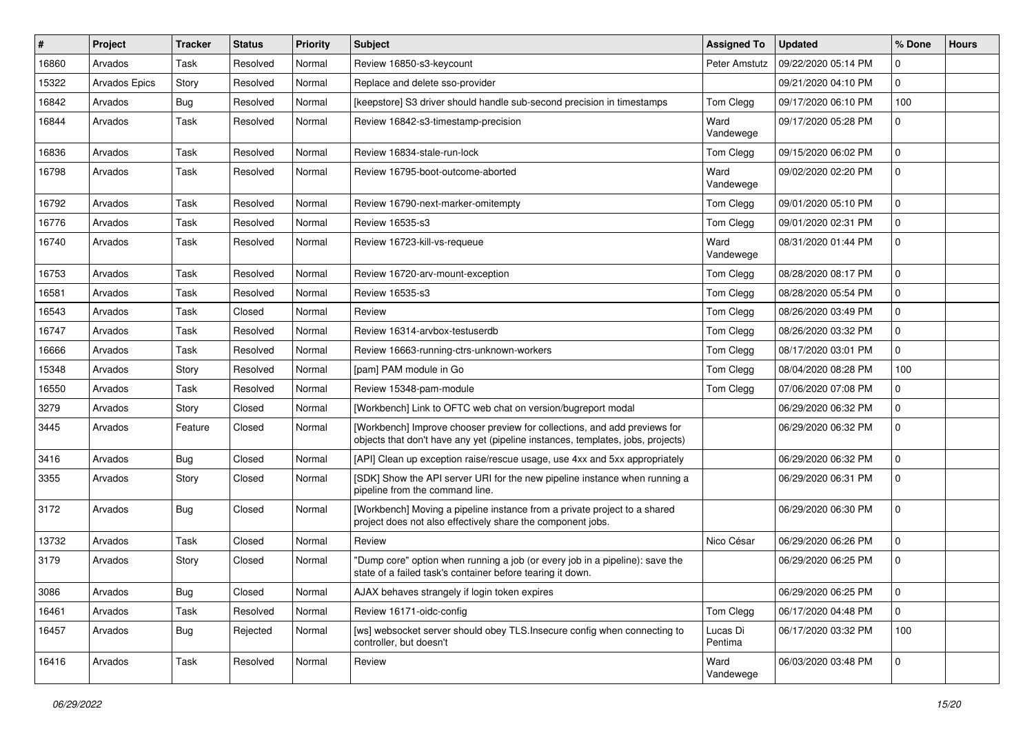| $\vert$ # | Project              | <b>Tracker</b> | <b>Status</b> | <b>Priority</b> | Subject                                                                                                                                                      | <b>Assigned To</b>  | <b>Updated</b>      | % Done       | <b>Hours</b> |
|-----------|----------------------|----------------|---------------|-----------------|--------------------------------------------------------------------------------------------------------------------------------------------------------------|---------------------|---------------------|--------------|--------------|
| 16860     | Arvados              | Task           | Resolved      | Normal          | Review 16850-s3-keycount                                                                                                                                     | Peter Amstutz       | 09/22/2020 05:14 PM | 0            |              |
| 15322     | <b>Arvados Epics</b> | Story          | Resolved      | Normal          | Replace and delete sso-provider                                                                                                                              |                     | 09/21/2020 04:10 PM | $\mathbf 0$  |              |
| 16842     | Arvados              | Bug            | Resolved      | Normal          | [keepstore] S3 driver should handle sub-second precision in timestamps                                                                                       | Tom Clegg           | 09/17/2020 06:10 PM | 100          |              |
| 16844     | Arvados              | Task           | Resolved      | Normal          | Review 16842-s3-timestamp-precision                                                                                                                          | Ward<br>Vandewege   | 09/17/2020 05:28 PM | $\Omega$     |              |
| 16836     | Arvados              | Task           | Resolved      | Normal          | Review 16834-stale-run-lock                                                                                                                                  | Tom Clegg           | 09/15/2020 06:02 PM | $\mathbf 0$  |              |
| 16798     | Arvados              | Task           | Resolved      | Normal          | Review 16795-boot-outcome-aborted                                                                                                                            | Ward<br>Vandewege   | 09/02/2020 02:20 PM | $\Omega$     |              |
| 16792     | Arvados              | Task           | Resolved      | Normal          | Review 16790-next-marker-omitempty                                                                                                                           | Tom Clegg           | 09/01/2020 05:10 PM | 0            |              |
| 16776     | Arvados              | Task           | Resolved      | Normal          | Review 16535-s3                                                                                                                                              | Tom Clegg           | 09/01/2020 02:31 PM | $\mathbf 0$  |              |
| 16740     | Arvados              | Task           | Resolved      | Normal          | Review 16723-kill-vs-requeue                                                                                                                                 | Ward<br>Vandewege   | 08/31/2020 01:44 PM | $\Omega$     |              |
| 16753     | Arvados              | Task           | Resolved      | Normal          | Review 16720-arv-mount-exception                                                                                                                             | Tom Clegg           | 08/28/2020 08:17 PM | $\mathbf 0$  |              |
| 16581     | Arvados              | Task           | Resolved      | Normal          | Review 16535-s3                                                                                                                                              | Tom Clegg           | 08/28/2020 05:54 PM | $\mathbf 0$  |              |
| 16543     | Arvados              | Task           | Closed        | Normal          | Review                                                                                                                                                       | Tom Clegg           | 08/26/2020 03:49 PM | $\mathbf 0$  |              |
| 16747     | Arvados              | Task           | Resolved      | Normal          | Review 16314-arvbox-testuserdb                                                                                                                               | Tom Clegg           | 08/26/2020 03:32 PM | $\mathbf 0$  |              |
| 16666     | Arvados              | Task           | Resolved      | Normal          | Review 16663-running-ctrs-unknown-workers                                                                                                                    | Tom Clegg           | 08/17/2020 03:01 PM | 0            |              |
| 15348     | Arvados              | Story          | Resolved      | Normal          | [pam] PAM module in Go                                                                                                                                       | Tom Clegg           | 08/04/2020 08:28 PM | 100          |              |
| 16550     | Arvados              | Task           | Resolved      | Normal          | Review 15348-pam-module                                                                                                                                      | Tom Clegg           | 07/06/2020 07:08 PM | $\mathbf 0$  |              |
| 3279      | Arvados              | Story          | Closed        | Normal          | [Workbench] Link to OFTC web chat on version/bugreport modal                                                                                                 |                     | 06/29/2020 06:32 PM | $\mathbf 0$  |              |
| 3445      | Arvados              | Feature        | Closed        | Normal          | [Workbench] Improve chooser preview for collections, and add previews for<br>objects that don't have any yet (pipeline instances, templates, jobs, projects) |                     | 06/29/2020 06:32 PM | $\mathbf 0$  |              |
| 3416      | Arvados              | Bug            | Closed        | Normal          | [API] Clean up exception raise/rescue usage, use 4xx and 5xx appropriately                                                                                   |                     | 06/29/2020 06:32 PM | $\mathbf 0$  |              |
| 3355      | Arvados              | Story          | Closed        | Normal          | [SDK] Show the API server URI for the new pipeline instance when running a<br>pipeline from the command line.                                                |                     | 06/29/2020 06:31 PM | $\Omega$     |              |
| 3172      | Arvados              | <b>Bug</b>     | Closed        | Normal          | [Workbench] Moving a pipeline instance from a private project to a shared<br>project does not also effectively share the component jobs.                     |                     | 06/29/2020 06:30 PM | $\Omega$     |              |
| 13732     | Arvados              | Task           | Closed        | Normal          | Review                                                                                                                                                       | Nico César          | 06/29/2020 06:26 PM | $\mathbf 0$  |              |
| 3179      | Arvados              | Story          | Closed        | Normal          | "Dump core" option when running a job (or every job in a pipeline): save the<br>state of a failed task's container before tearing it down.                   |                     | 06/29/2020 06:25 PM | $\mathbf 0$  |              |
| 3086      | Arvados              | <b>Bug</b>     | Closed        | Normal          | AJAX behaves strangely if login token expires                                                                                                                |                     | 06/29/2020 06:25 PM | $\mathbf 0$  |              |
| 16461     | Arvados              | Task           | Resolved      | Normal          | Review 16171-oidc-config                                                                                                                                     | Tom Clegg           | 06/17/2020 04:48 PM | $\mathbf{0}$ |              |
| 16457     | Arvados              | Bug            | Rejected      | Normal          | [ws] websocket server should obey TLS. Insecure config when connecting to<br>controller, but doesn't                                                         | Lucas Di<br>Pentima | 06/17/2020 03:32 PM | 100          |              |
| 16416     | Arvados              | Task           | Resolved      | Normal          | Review                                                                                                                                                       | Ward<br>Vandewege   | 06/03/2020 03:48 PM | $\mathbf{0}$ |              |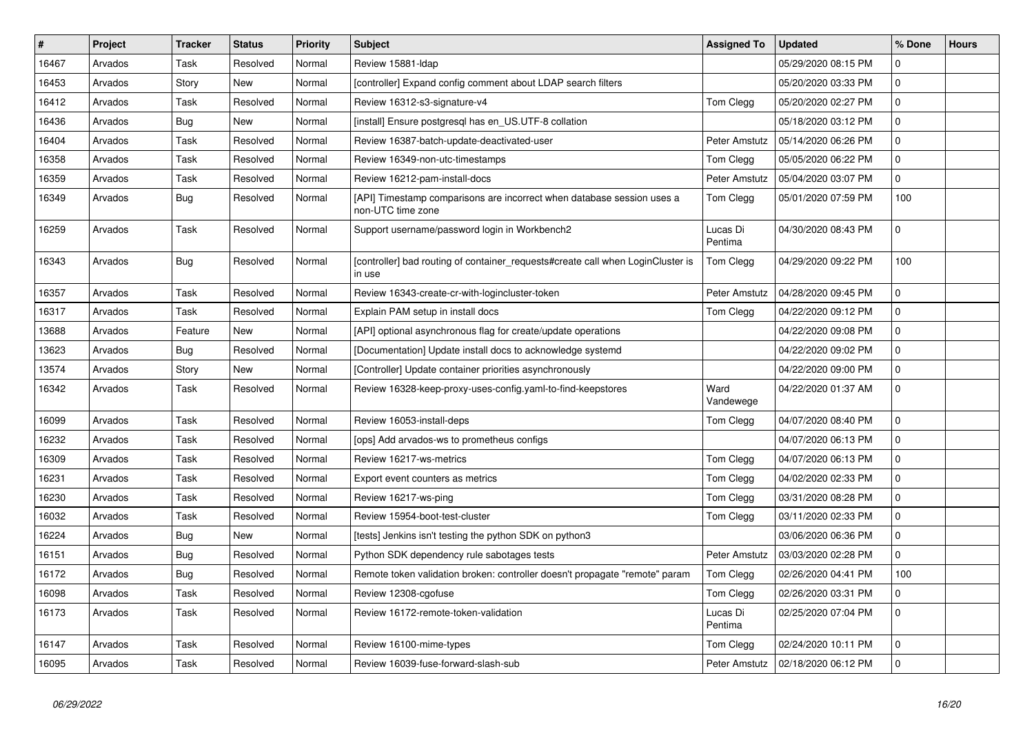| #     | Project | <b>Tracker</b> | <b>Status</b> | Priority | <b>Subject</b>                                                                              | <b>Assigned To</b>  | <b>Updated</b>      | % Done       | <b>Hours</b> |
|-------|---------|----------------|---------------|----------|---------------------------------------------------------------------------------------------|---------------------|---------------------|--------------|--------------|
| 16467 | Arvados | Task           | Resolved      | Normal   | Review 15881-Idap                                                                           |                     | 05/29/2020 08:15 PM | $\Omega$     |              |
| 16453 | Arvados | Story          | <b>New</b>    | Normal   | [controller] Expand config comment about LDAP search filters                                |                     | 05/20/2020 03:33 PM | $\Omega$     |              |
| 16412 | Arvados | Task           | Resolved      | Normal   | Review 16312-s3-signature-v4                                                                | Tom Clegg           | 05/20/2020 02:27 PM | $\Omega$     |              |
| 16436 | Arvados | <b>Bug</b>     | <b>New</b>    | Normal   | [install] Ensure postgresql has en_US.UTF-8 collation                                       |                     | 05/18/2020 03:12 PM | $\Omega$     |              |
| 16404 | Arvados | Task           | Resolved      | Normal   | Review 16387-batch-update-deactivated-user                                                  | Peter Amstutz       | 05/14/2020 06:26 PM | $\mathbf 0$  |              |
| 16358 | Arvados | Task           | Resolved      | Normal   | Review 16349-non-utc-timestamps                                                             | Tom Clegg           | 05/05/2020 06:22 PM | $\mathbf 0$  |              |
| 16359 | Arvados | Task           | Resolved      | Normal   | Review 16212-pam-install-docs                                                               | Peter Amstutz       | 05/04/2020 03:07 PM | $\mathbf 0$  |              |
| 16349 | Arvados | <b>Bug</b>     | Resolved      | Normal   | [API] Timestamp comparisons are incorrect when database session uses a<br>non-UTC time zone | Tom Clegg           | 05/01/2020 07:59 PM | 100          |              |
| 16259 | Arvados | Task           | Resolved      | Normal   | Support username/password login in Workbench2                                               | Lucas Di<br>Pentima | 04/30/2020 08:43 PM | $\Omega$     |              |
| 16343 | Arvados | <b>Bug</b>     | Resolved      | Normal   | [controller] bad routing of container_requests#create call when LoginCluster is<br>in use   | Tom Clegg           | 04/29/2020 09:22 PM | 100          |              |
| 16357 | Arvados | Task           | Resolved      | Normal   | Review 16343-create-cr-with-logincluster-token                                              | Peter Amstutz       | 04/28/2020 09:45 PM | $\mathbf 0$  |              |
| 16317 | Arvados | Task           | Resolved      | Normal   | Explain PAM setup in install docs                                                           | Tom Clegg           | 04/22/2020 09:12 PM | $\mathbf 0$  |              |
| 13688 | Arvados | Feature        | <b>New</b>    | Normal   | [API] optional asynchronous flag for create/update operations                               |                     | 04/22/2020 09:08 PM | $\Omega$     |              |
| 13623 | Arvados | Bug            | Resolved      | Normal   | [Documentation] Update install docs to acknowledge systemd                                  |                     | 04/22/2020 09:02 PM | $\mathbf 0$  |              |
| 13574 | Arvados | Story          | New           | Normal   | [Controller] Update container priorities asynchronously                                     |                     | 04/22/2020 09:00 PM | $\mathbf 0$  |              |
| 16342 | Arvados | Task           | Resolved      | Normal   | Review 16328-keep-proxy-uses-config.yaml-to-find-keepstores                                 | Ward<br>Vandewege   | 04/22/2020 01:37 AM | $\mathbf 0$  |              |
| 16099 | Arvados | Task           | Resolved      | Normal   | Review 16053-install-deps                                                                   | Tom Clegg           | 04/07/2020 08:40 PM | $\mathbf 0$  |              |
| 16232 | Arvados | Task           | Resolved      | Normal   | [ops] Add arvados-ws to prometheus configs                                                  |                     | 04/07/2020 06:13 PM | $\mathbf 0$  |              |
| 16309 | Arvados | Task           | Resolved      | Normal   | Review 16217-ws-metrics                                                                     | Tom Clegg           | 04/07/2020 06:13 PM | $\Omega$     |              |
| 16231 | Arvados | Task           | Resolved      | Normal   | Export event counters as metrics                                                            | Tom Clegg           | 04/02/2020 02:33 PM | $\Omega$     |              |
| 16230 | Arvados | Task           | Resolved      | Normal   | Review 16217-ws-ping                                                                        | Tom Clegg           | 03/31/2020 08:28 PM | $\mathbf 0$  |              |
| 16032 | Arvados | Task           | Resolved      | Normal   | Review 15954-boot-test-cluster                                                              | Tom Clegg           | 03/11/2020 02:33 PM | $\mathbf 0$  |              |
| 16224 | Arvados | <b>Bug</b>     | New           | Normal   | [tests] Jenkins isn't testing the python SDK on python3                                     |                     | 03/06/2020 06:36 PM | $\mathbf 0$  |              |
| 16151 | Arvados | Bug            | Resolved      | Normal   | Python SDK dependency rule sabotages tests                                                  | Peter Amstutz       | 03/03/2020 02:28 PM | $\Omega$     |              |
| 16172 | Arvados | <b>Bug</b>     | Resolved      | Normal   | Remote token validation broken: controller doesn't propagate "remote" param                 | Tom Clegg           | 02/26/2020 04:41 PM | 100          |              |
| 16098 | Arvados | Task           | Resolved      | Normal   | Review 12308-cgofuse                                                                        | Tom Clegg           | 02/26/2020 03:31 PM | $\mathsf{O}$ |              |
| 16173 | Arvados | Task           | Resolved      | Normal   | Review 16172-remote-token-validation                                                        | Lucas Di<br>Pentima | 02/25/2020 07:04 PM | $\mathbf 0$  |              |
| 16147 | Arvados | Task           | Resolved      | Normal   | Review 16100-mime-types                                                                     | Tom Clegg           | 02/24/2020 10:11 PM | $\mathbf 0$  |              |
| 16095 | Arvados | Task           | Resolved      | Normal   | Review 16039-fuse-forward-slash-sub                                                         | Peter Amstutz       | 02/18/2020 06:12 PM | $\Omega$     |              |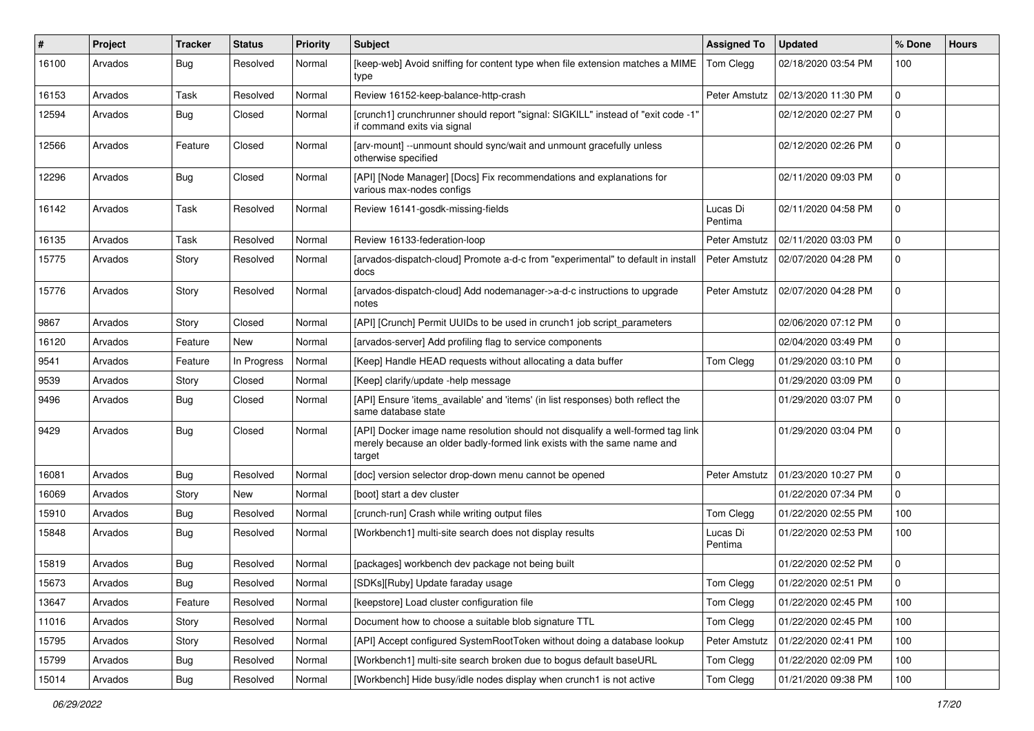| #     | Project | <b>Tracker</b> | <b>Status</b> | <b>Priority</b> | <b>Subject</b>                                                                                                                                                       | <b>Assigned To</b>  | <b>Updated</b>      | % Done      | <b>Hours</b> |
|-------|---------|----------------|---------------|-----------------|----------------------------------------------------------------------------------------------------------------------------------------------------------------------|---------------------|---------------------|-------------|--------------|
| 16100 | Arvados | <b>Bug</b>     | Resolved      | Normal          | [keep-web] Avoid sniffing for content type when file extension matches a MIME<br>type                                                                                | Tom Clegg           | 02/18/2020 03:54 PM | 100         |              |
| 16153 | Arvados | Task           | Resolved      | Normal          | Review 16152-keep-balance-http-crash                                                                                                                                 | Peter Amstutz       | 02/13/2020 11:30 PM | $\mathbf 0$ |              |
| 12594 | Arvados | <b>Bug</b>     | Closed        | Normal          | [crunch1] crunchrunner should report "signal: SIGKILL" instead of "exit code -1'<br>if command exits via signal                                                      |                     | 02/12/2020 02:27 PM | 0           |              |
| 12566 | Arvados | Feature        | Closed        | Normal          | [arv-mount] --unmount should sync/wait and unmount gracefully unless<br>otherwise specified                                                                          |                     | 02/12/2020 02:26 PM | 0           |              |
| 12296 | Arvados | Bug            | Closed        | Normal          | [API] [Node Manager] [Docs] Fix recommendations and explanations for<br>various max-nodes configs                                                                    |                     | 02/11/2020 09:03 PM | 0           |              |
| 16142 | Arvados | Task           | Resolved      | Normal          | Review 16141-gosdk-missing-fields                                                                                                                                    | Lucas Di<br>Pentima | 02/11/2020 04:58 PM | $\Omega$    |              |
| 16135 | Arvados | Task           | Resolved      | Normal          | Review 16133-federation-loop                                                                                                                                         | Peter Amstutz       | 02/11/2020 03:03 PM | 0           |              |
| 15775 | Arvados | Story          | Resolved      | Normal          | [arvados-dispatch-cloud] Promote a-d-c from "experimental" to default in install<br>docs                                                                             | Peter Amstutz       | 02/07/2020 04:28 PM | $\Omega$    |              |
| 15776 | Arvados | Story          | Resolved      | Normal          | [arvados-dispatch-cloud] Add nodemanager->a-d-c instructions to upgrade<br>notes                                                                                     | Peter Amstutz       | 02/07/2020 04:28 PM | 0           |              |
| 9867  | Arvados | Story          | Closed        | Normal          | [API] [Crunch] Permit UUIDs to be used in crunch1 job script parameters                                                                                              |                     | 02/06/2020 07:12 PM | $\Omega$    |              |
| 16120 | Arvados | Feature        | New           | Normal          | [arvados-server] Add profiling flag to service components                                                                                                            |                     | 02/04/2020 03:49 PM | 0           |              |
| 9541  | Arvados | Feature        | In Progress   | Normal          | [Keep] Handle HEAD requests without allocating a data buffer                                                                                                         | Tom Clegg           | 01/29/2020 03:10 PM | 0           |              |
| 9539  | Arvados | Story          | Closed        | Normal          | [Keep] clarify/update -help message                                                                                                                                  |                     | 01/29/2020 03:09 PM | 0           |              |
| 9496  | Arvados | <b>Bug</b>     | Closed        | Normal          | [API] Ensure 'items_available' and 'items' (in list responses) both reflect the<br>same database state                                                               |                     | 01/29/2020 03:07 PM | $\Omega$    |              |
| 9429  | Arvados | Bug            | Closed        | Normal          | [API] Docker image name resolution should not disqualify a well-formed tag link<br>merely because an older badly-formed link exists with the same name and<br>target |                     | 01/29/2020 03:04 PM | $\Omega$    |              |
| 16081 | Arvados | <b>Bug</b>     | Resolved      | Normal          | [doc] version selector drop-down menu cannot be opened                                                                                                               | Peter Amstutz       | 01/23/2020 10:27 PM | 0           |              |
| 16069 | Arvados | Story          | <b>New</b>    | Normal          | [boot] start a dev cluster                                                                                                                                           |                     | 01/22/2020 07:34 PM | $\mathbf 0$ |              |
| 15910 | Arvados | <b>Bug</b>     | Resolved      | Normal          | [crunch-run] Crash while writing output files                                                                                                                        | Tom Clegg           | 01/22/2020 02:55 PM | 100         |              |
| 15848 | Arvados | <b>Bug</b>     | Resolved      | Normal          | [Workbench1] multi-site search does not display results                                                                                                              | Lucas Di<br>Pentima | 01/22/2020 02:53 PM | 100         |              |
| 15819 | Arvados | <b>Bug</b>     | Resolved      | Normal          | [packages] workbench dev package not being built                                                                                                                     |                     | 01/22/2020 02:52 PM | 0           |              |
| 15673 | Arvados | <b>Bug</b>     | Resolved      | Normal          | [SDKs][Ruby] Update faraday usage                                                                                                                                    | Tom Clegg           | 01/22/2020 02:51 PM | 0           |              |
| 13647 | Arvados | Feature        | Resolved      | Normal          | [keepstore] Load cluster configuration file                                                                                                                          | Tom Clegg           | 01/22/2020 02:45 PM | 100         |              |
| 11016 | Arvados | Story          | Resolved      | Normal          | Document how to choose a suitable blob signature TTL                                                                                                                 | Tom Clegg           | 01/22/2020 02:45 PM | 100         |              |
| 15795 | Arvados | Story          | Resolved      | Normal          | [API] Accept configured SystemRootToken without doing a database lookup                                                                                              | Peter Amstutz       | 01/22/2020 02:41 PM | 100         |              |
| 15799 | Arvados | <b>Bug</b>     | Resolved      | Normal          | [Workbench1] multi-site search broken due to bogus default baseURL                                                                                                   | Tom Clegg           | 01/22/2020 02:09 PM | 100         |              |
| 15014 | Arvados | <b>Bug</b>     | Resolved      | Normal          | [Workbench] Hide busy/idle nodes display when crunch1 is not active                                                                                                  | Tom Clegg           | 01/21/2020 09:38 PM | 100         |              |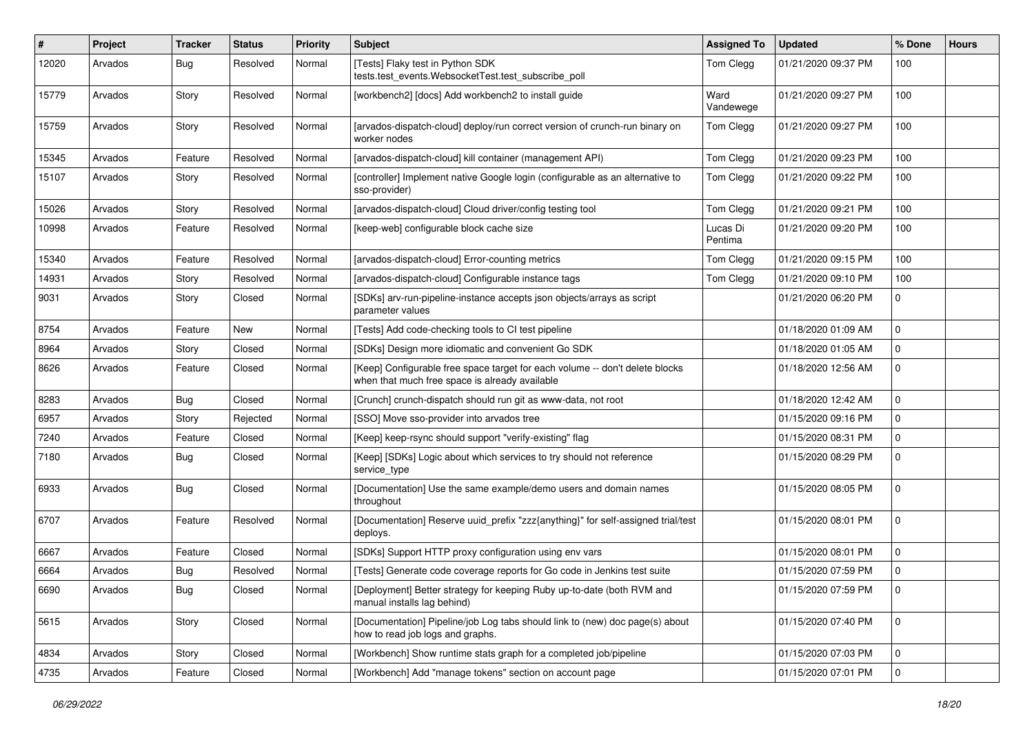| ∦     | Project | <b>Tracker</b> | <b>Status</b> | <b>Priority</b> | <b>Subject</b>                                                                                                                 | <b>Assigned To</b>  | <b>Updated</b>      | % Done       | <b>Hours</b> |
|-------|---------|----------------|---------------|-----------------|--------------------------------------------------------------------------------------------------------------------------------|---------------------|---------------------|--------------|--------------|
| 12020 | Arvados | <b>Bug</b>     | Resolved      | Normal          | [Tests] Flaky test in Python SDK<br>tests.test_events.WebsocketTest.test_subscribe_poll                                        | Tom Clegg           | 01/21/2020 09:37 PM | 100          |              |
| 15779 | Arvados | Story          | Resolved      | Normal          | [workbench2] [docs] Add workbench2 to install guide                                                                            | Ward<br>Vandewege   | 01/21/2020 09:27 PM | 100          |              |
| 15759 | Arvados | Story          | Resolved      | Normal          | [arvados-dispatch-cloud] deploy/run correct version of crunch-run binary on<br>worker nodes                                    | Tom Clegg           | 01/21/2020 09:27 PM | 100          |              |
| 15345 | Arvados | Feature        | Resolved      | Normal          | [arvados-dispatch-cloud] kill container (management API)                                                                       | Tom Clegg           | 01/21/2020 09:23 PM | 100          |              |
| 15107 | Arvados | Story          | Resolved      | Normal          | [controller] Implement native Google login (configurable as an alternative to<br>sso-provider)                                 | Tom Clegg           | 01/21/2020 09:22 PM | 100          |              |
| 15026 | Arvados | Story          | Resolved      | Normal          | [arvados-dispatch-cloud] Cloud driver/config testing tool                                                                      | Tom Clegg           | 01/21/2020 09:21 PM | 100          |              |
| 10998 | Arvados | Feature        | Resolved      | Normal          | [keep-web] configurable block cache size                                                                                       | Lucas Di<br>Pentima | 01/21/2020 09:20 PM | 100          |              |
| 15340 | Arvados | Feature        | Resolved      | Normal          | [arvados-dispatch-cloud] Error-counting metrics                                                                                | Tom Clegg           | 01/21/2020 09:15 PM | 100          |              |
| 14931 | Arvados | Story          | Resolved      | Normal          | [arvados-dispatch-cloud] Configurable instance tags                                                                            | Tom Clegg           | 01/21/2020 09:10 PM | 100          |              |
| 9031  | Arvados | Story          | Closed        | Normal          | [SDKs] arv-run-pipeline-instance accepts json objects/arrays as script<br>parameter values                                     |                     | 01/21/2020 06:20 PM | $\mathbf 0$  |              |
| 8754  | Arvados | Feature        | <b>New</b>    | Normal          | [Tests] Add code-checking tools to CI test pipeline                                                                            |                     | 01/18/2020 01:09 AM | 0            |              |
| 8964  | Arvados | Story          | Closed        | Normal          | [SDKs] Design more idiomatic and convenient Go SDK                                                                             |                     | 01/18/2020 01:05 AM | 0            |              |
| 8626  | Arvados | Feature        | Closed        | Normal          | [Keep] Configurable free space target for each volume -- don't delete blocks<br>when that much free space is already available |                     | 01/18/2020 12:56 AM | $\mathbf 0$  |              |
| 8283  | Arvados | <b>Bug</b>     | Closed        | Normal          | [Crunch] crunch-dispatch should run git as www-data, not root                                                                  |                     | 01/18/2020 12:42 AM | $\mathbf 0$  |              |
| 6957  | Arvados | Story          | Rejected      | Normal          | [SSO] Move sso-provider into arvados tree                                                                                      |                     | 01/15/2020 09:16 PM | $\mathbf 0$  |              |
| 7240  | Arvados | Feature        | Closed        | Normal          | [Keep] keep-rsync should support "verify-existing" flag                                                                        |                     | 01/15/2020 08:31 PM | $\mathbf 0$  |              |
| 7180  | Arvados | Bug            | Closed        | Normal          | [Keep] [SDKs] Logic about which services to try should not reference<br>service_type                                           |                     | 01/15/2020 08:29 PM | $\mathbf 0$  |              |
| 6933  | Arvados | <b>Bug</b>     | Closed        | Normal          | [Documentation] Use the same example/demo users and domain names<br>throughout                                                 |                     | 01/15/2020 08:05 PM | $\mathbf 0$  |              |
| 6707  | Arvados | Feature        | Resolved      | Normal          | [Documentation] Reserve uuid_prefix "zzz{anything}" for self-assigned trial/test<br>deploys.                                   |                     | 01/15/2020 08:01 PM | 0            |              |
| 6667  | Arvados | Feature        | Closed        | Normal          | [SDKs] Support HTTP proxy configuration using env vars                                                                         |                     | 01/15/2020 08:01 PM | 0            |              |
| 6664  | Arvados | <b>Bug</b>     | Resolved      | Normal          | [Tests] Generate code coverage reports for Go code in Jenkins test suite                                                       |                     | 01/15/2020 07:59 PM | 0            |              |
| 6690  | Arvados | <b>Bug</b>     | Closed        | Normal          | [Deployment] Better strategy for keeping Ruby up-to-date (both RVM and<br>manual installs lag behind)                          |                     | 01/15/2020 07:59 PM | 0            |              |
| 5615  | Arvados | Story          | Closed        | Normal          | [Documentation] Pipeline/job Log tabs should link to (new) doc page(s) about<br>how to read job logs and graphs.               |                     | 01/15/2020 07:40 PM | $\mathbf 0$  |              |
| 4834  | Arvados | Story          | Closed        | Normal          | [Workbench] Show runtime stats graph for a completed job/pipeline                                                              |                     | 01/15/2020 07:03 PM | $\mathbf{0}$ |              |
| 4735  | Arvados | Feature        | Closed        | Normal          | [Workbench] Add "manage tokens" section on account page                                                                        |                     | 01/15/2020 07:01 PM | $\mathbf 0$  |              |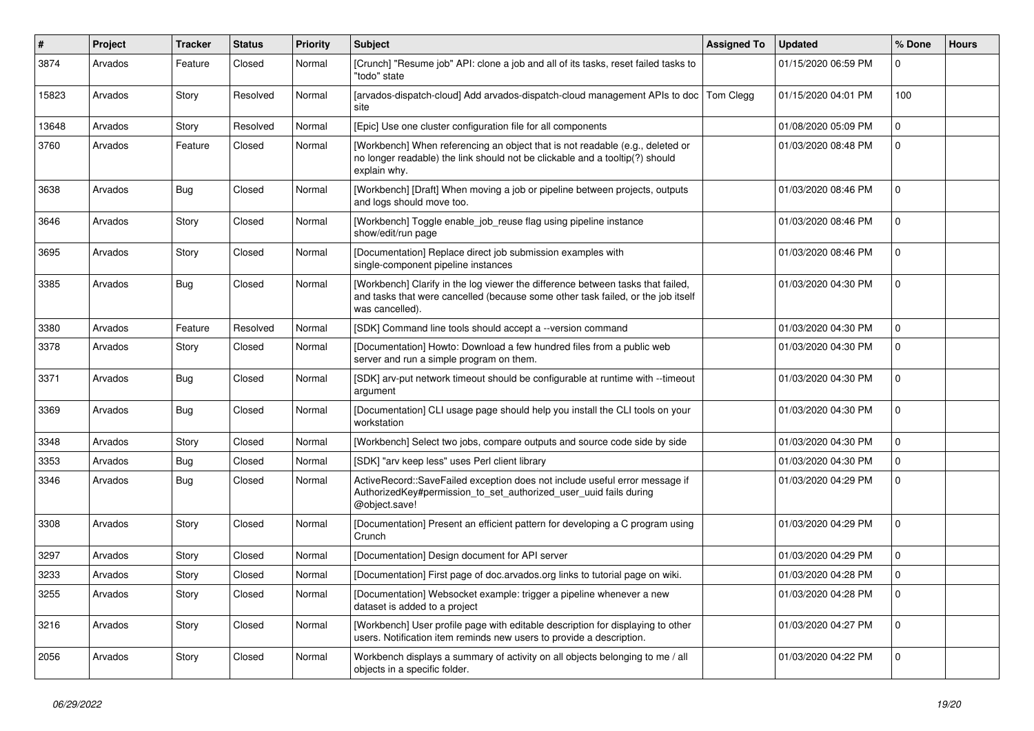| ∦     | Project | <b>Tracker</b> | <b>Status</b> | Priority | Subject                                                                                                                                                                                | <b>Assigned To</b> | <b>Updated</b>      | % Done      | <b>Hours</b> |
|-------|---------|----------------|---------------|----------|----------------------------------------------------------------------------------------------------------------------------------------------------------------------------------------|--------------------|---------------------|-------------|--------------|
| 3874  | Arvados | Feature        | Closed        | Normal   | [Crunch] "Resume job" API: clone a job and all of its tasks, reset failed tasks to<br>"todo" state                                                                                     |                    | 01/15/2020 06:59 PM | 0           |              |
| 15823 | Arvados | Story          | Resolved      | Normal   | [arvados-dispatch-cloud] Add arvados-dispatch-cloud management APIs to doc   Tom Clegg<br>site                                                                                         |                    | 01/15/2020 04:01 PM | 100         |              |
| 13648 | Arvados | Story          | Resolved      | Normal   | [Epic] Use one cluster configuration file for all components                                                                                                                           |                    | 01/08/2020 05:09 PM | 0           |              |
| 3760  | Arvados | Feature        | Closed        | Normal   | [Workbench] When referencing an object that is not readable (e.g., deleted or<br>no longer readable) the link should not be clickable and a tooltip(?) should<br>explain why.          |                    | 01/03/2020 08:48 PM | 0           |              |
| 3638  | Arvados | Bug            | Closed        | Normal   | [Workbench] [Draft] When moving a job or pipeline between projects, outputs<br>and logs should move too.                                                                               |                    | 01/03/2020 08:46 PM | 0           |              |
| 3646  | Arvados | Story          | Closed        | Normal   | [Workbench] Toggle enable_job_reuse flag using pipeline instance<br>show/edit/run page                                                                                                 |                    | 01/03/2020 08:46 PM | 0           |              |
| 3695  | Arvados | Story          | Closed        | Normal   | [Documentation] Replace direct job submission examples with<br>single-component pipeline instances                                                                                     |                    | 01/03/2020 08:46 PM | 0           |              |
| 3385  | Arvados | Bug            | Closed        | Normal   | [Workbench] Clarify in the log viewer the difference between tasks that failed,<br>and tasks that were cancelled (because some other task failed, or the job itself<br>was cancelled). |                    | 01/03/2020 04:30 PM | 0           |              |
| 3380  | Arvados | Feature        | Resolved      | Normal   | [SDK] Command line tools should accept a --version command                                                                                                                             |                    | 01/03/2020 04:30 PM | 0           |              |
| 3378  | Arvados | Story          | Closed        | Normal   | [Documentation] Howto: Download a few hundred files from a public web<br>server and run a simple program on them.                                                                      |                    | 01/03/2020 04:30 PM | 0           |              |
| 3371  | Arvados | Bug            | Closed        | Normal   | [SDK] arv-put network timeout should be configurable at runtime with --timeout<br>argument                                                                                             |                    | 01/03/2020 04:30 PM | 0           |              |
| 3369  | Arvados | Bug            | Closed        | Normal   | [Documentation] CLI usage page should help you install the CLI tools on your<br>workstation                                                                                            |                    | 01/03/2020 04:30 PM | 0           |              |
| 3348  | Arvados | Story          | Closed        | Normal   | [Workbench] Select two jobs, compare outputs and source code side by side                                                                                                              |                    | 01/03/2020 04:30 PM | 0           |              |
| 3353  | Arvados | Bug            | Closed        | Normal   | [SDK] "arv keep less" uses Perl client library                                                                                                                                         |                    | 01/03/2020 04:30 PM | 0           |              |
| 3346  | Arvados | Bug            | Closed        | Normal   | ActiveRecord::SaveFailed exception does not include useful error message if<br>AuthorizedKey#permission_to_set_authorized_user_uuid fails during<br>@object.save!                      |                    | 01/03/2020 04:29 PM | 0           |              |
| 3308  | Arvados | Story          | Closed        | Normal   | [Documentation] Present an efficient pattern for developing a C program using<br>Crunch                                                                                                |                    | 01/03/2020 04:29 PM | 0           |              |
| 3297  | Arvados | Story          | Closed        | Normal   | [Documentation] Design document for API server                                                                                                                                         |                    | 01/03/2020 04:29 PM | 0           |              |
| 3233  | Arvados | Story          | Closed        | Normal   | [Documentation] First page of doc.arvados.org links to tutorial page on wiki.                                                                                                          |                    | 01/03/2020 04:28 PM | 0           |              |
| 3255  | Arvados | Story          | Closed        | Normal   | [Documentation] Websocket example: trigger a pipeline whenever a new<br>dataset is added to a project                                                                                  |                    | 01/03/2020 04:28 PM | $\mathbf 0$ |              |
| 3216  | Arvados | Story          | Closed        | Normal   | [Workbench] User profile page with editable description for displaying to other<br>users. Notification item reminds new users to provide a description.                                |                    | 01/03/2020 04:27 PM | $\mathbf 0$ |              |
| 2056  | Arvados | Story          | Closed        | Normal   | Workbench displays a summary of activity on all objects belonging to me / all<br>objects in a specific folder.                                                                         |                    | 01/03/2020 04:22 PM | $\mathbf 0$ |              |